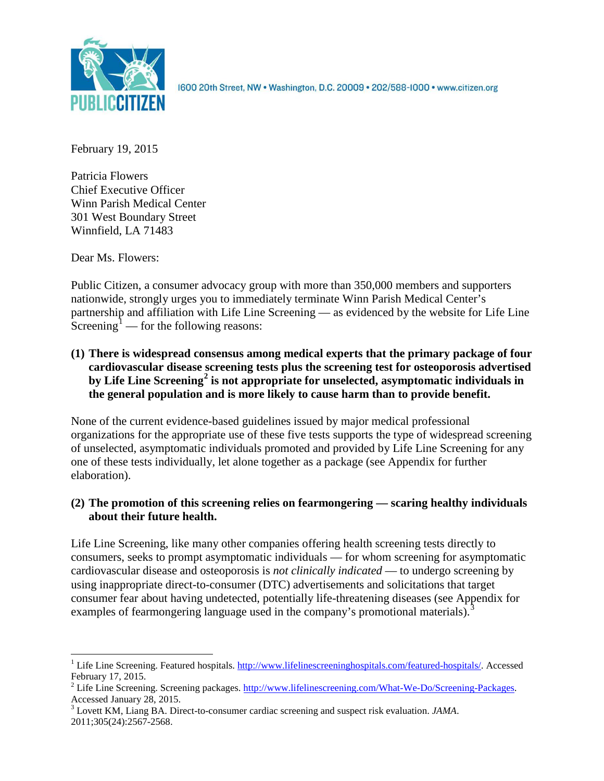

1600 20th Street, NW . Washington, D.C. 20009 . 202/588-1000 . www.citizen.org

February 19, 2015

Patricia Flowers Chief Executive Officer Winn Parish Medical Center 301 West Boundary Street Winnfield, LA 71483

Dear Ms. Flowers:

Public Citizen, a consumer advocacy group with more than 350,000 members and supporters nationwide, strongly urges you to immediately terminate Winn Parish Medical Center's partnership and affiliation with Life Line Screening — as evidenced by the website for Life Line Screening<sup>[1](#page-0-0)</sup> — for the following reasons:

**(1) There is widespread consensus among medical experts that the primary package of four cardiovascular disease screening tests plus the screening test for osteoporosis advertised by Life Line Screening[2](#page-0-1) is not appropriate for unselected, asymptomatic individuals in the general population and is more likely to cause harm than to provide benefit.**

None of the current evidence-based guidelines issued by major medical professional organizations for the appropriate use of these five tests supports the type of widespread screening of unselected, asymptomatic individuals promoted and provided by Life Line Screening for any one of these tests individually, let alone together as a package (see Appendix for further elaboration).

# **(2) The promotion of this screening relies on fearmongering — scaring healthy individuals about their future health.**

Life Line Screening, like many other companies offering health screening tests directly to consumers, seeks to prompt asymptomatic individuals — for whom screening for asymptomatic cardiovascular disease and osteoporosis is *not clinically indicated* — to undergo screening by using inappropriate direct-to-consumer (DTC) advertisements and solicitations that target consumer fear about having undetected, potentially life-threatening diseases (see Appendix for examples of fearmongering language used in the company's promotional materials).<sup>[3](#page-0-2)</sup>

<span id="page-0-0"></span><sup>&</sup>lt;sup>1</sup> Life Line Screening. Featured hospitals. [http://www.lifelinescreeninghospitals.com/featured-hospitals/.](http://www.lifelinescreeninghospitals.com/featured-hospitals/) Accessed

<span id="page-0-1"></span>February 17, 2015.<br><sup>2</sup> Life Line Screening. Screening packages. [http://www.lifelinescreening.com/What-We-Do/Screening-Packages.](http://www.lifelinescreening.com/What-We-Do/Screening-Packages)<br>Accessed January 28, 2015.

<span id="page-0-2"></span><sup>&</sup>lt;sup>3</sup> Lovett KM, Liang BA. Direct-to-consumer cardiac screening and suspect risk evaluation. *JAMA*. 2011;305(24):2567-2568.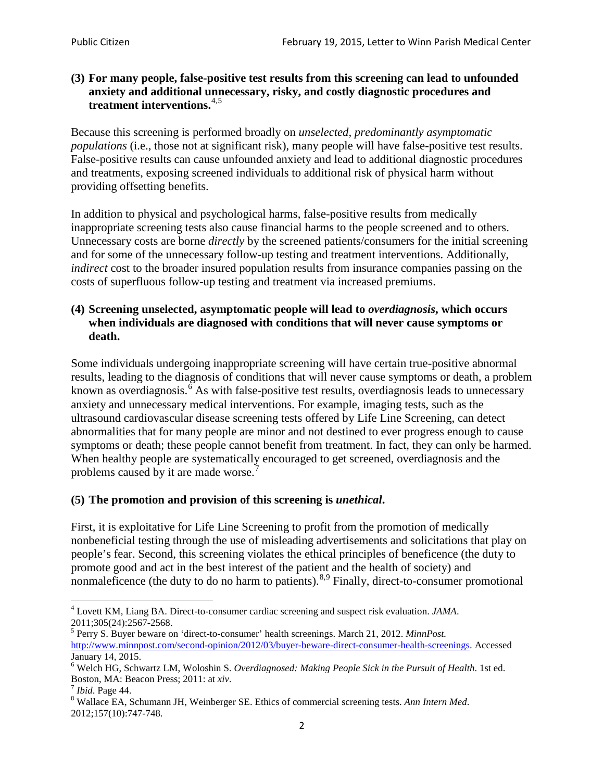# **(3) For many people, false-positive test results from this screening can lead to unfounded anxiety and additional unnecessary, risky, and costly diagnostic procedures and treatment interventions.**[4](#page-1-0),[5](#page-1-1)

Because this screening is performed broadly on *unselected, predominantly asymptomatic populations* (i.e., those not at significant risk), many people will have false**-**positive test results. False-positive results can cause unfounded anxiety and lead to additional diagnostic procedures and treatments, exposing screened individuals to additional risk of physical harm without providing offsetting benefits.

In addition to physical and psychological harms, false-positive results from medically inappropriate screening tests also cause financial harms to the people screened and to others. Unnecessary costs are borne *directly* by the screened patients/consumers for the initial screening and for some of the unnecessary follow-up testing and treatment interventions. Additionally, *indirect* cost to the broader insured population results from insurance companies passing on the costs of superfluous follow-up testing and treatment via increased premiums.

# **(4) Screening unselected, asymptomatic people will lead to** *overdiagnosis***, which occurs when individuals are diagnosed with conditions that will never cause symptoms or death.**

Some individuals undergoing inappropriate screening will have certain true-positive abnormal results, leading to the diagnosis of conditions that will never cause symptoms or death, a problem known as overdiagnosis.<sup>[6](#page-1-2)</sup> As with false-positive test results, overdiagnosis leads to unnecessary anxiety and unnecessary medical interventions. For example, imaging tests, such as the ultrasound cardiovascular disease screening tests offered by Life Line Screening, can detect abnormalities that for many people are minor and not destined to ever progress enough to cause symptoms or death; these people cannot benefit from treatment. In fact, they can only be harmed. When healthy people are systematically encouraged to get screened, overdiagnosis and the problems caused by it are made worse.<sup>[7](#page-1-3)</sup>

# **(5) The promotion and provision of this screening is** *unethical***.**

First, it is exploitative for Life Line Screening to profit from the promotion of medically nonbeneficial testing through the use of misleading advertisements and solicitations that play on people's fear. Second, this screening violates the ethical principles of beneficence (the duty to promote good and act in the best interest of the patient and the health of society) and nonmaleficence (the duty to do no harm to patients).<sup>[8](#page-1-4),[9](#page-1-5)</sup> Finally, direct-to-consumer promotional

<span id="page-1-4"></span>2012;157(10):747-748.

<span id="page-1-5"></span><span id="page-1-0"></span><sup>4</sup> Lovett KM, Liang BA. Direct-to-consumer cardiac screening and suspect risk evaluation. *JAMA*.

<span id="page-1-1"></span><sup>2011;305(24):2567-2568.</sup> <sup>5</sup> Perry S. Buyer beware on 'direct-to-consumer' health screenings. March 21, 2012. *MinnPost.*  [http://www.minnpost.com/second-opinion/2012/03/buyer-beware-direct-consumer-health-screenings.](http://www.minnpost.com/second-opinion/2012/03/buyer-beware-direct-consumer-health-screenings) Accessed January 14, 2015.

<span id="page-1-2"></span><sup>6</sup> Welch HG, Schwartz LM, Woloshin S. *Overdiagnosed: Making People Sick in the Pursuit of Health*. 1st ed. Boston, MA: Beacon Press; 2011: at *xiv*.<br><sup>7</sup> *Ibid*. Page 44.<br><sup>8</sup> Wallace EA, Schumann JH, Weinberger SE. Ethics of commercial screening tests. *Ann Intern Med*.

<span id="page-1-3"></span>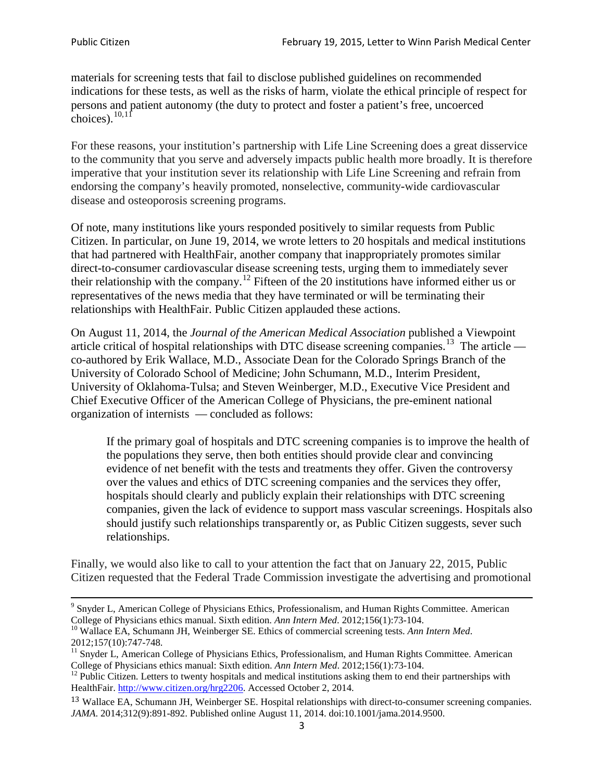materials for screening tests that fail to disclose published guidelines on recommended indications for these tests, as well as the risks of harm, violate the ethical principle of respect for persons and patient autonomy (the duty to protect and foster a patient's free, uncoerced choices). $\frac{10,11}{10,11}$  $\frac{10,11}{10,11}$  $\frac{10,11}{10,11}$  $\frac{10,11}{10,11}$ 

For these reasons, your institution's partnership with Life Line Screening does a great disservice to the community that you serve and adversely impacts public health more broadly. It is therefore imperative that your institution sever its relationship with Life Line Screening and refrain from endorsing the company's heavily promoted, nonselective, community**-**wide cardiovascular disease and osteoporosis screening programs.

Of note, many institutions like yours responded positively to similar requests from Public Citizen. In particular, on June 19, 2014, we wrote letters to 20 hospitals and medical institutions that had partnered with HealthFair, another company that inappropriately promotes similar direct-to-consumer cardiovascular disease screening tests, urging them to immediately sever their relationship with the company. [12](#page-2-2) Fifteen of the 20 institutions have informed either us or representatives of the news media that they have terminated or will be terminating their relationships with HealthFair. Public Citizen applauded these actions.

On August 11, 2014, the *Journal of the American Medical Association* published a Viewpoint article critical of hospital relationships with DTC disease screening companies.<sup>13</sup> The article co-authored by Erik Wallace, M.D., Associate Dean for the Colorado Springs Branch of the University of Colorado School of Medicine; John Schumann, M.D., Interim President, University of Oklahoma-Tulsa; and Steven Weinberger, M.D., Executive Vice President and Chief Executive Officer of the American College of Physicians, the pre**-**eminent national organization of internists — concluded as follows:

If the primary goal of hospitals and DTC screening companies is to improve the health of the populations they serve, then both entities should provide clear and convincing evidence of net benefit with the tests and treatments they offer. Given the controversy over the values and ethics of DTC screening companies and the services they offer, hospitals should clearly and publicly explain their relationships with DTC screening companies, given the lack of evidence to support mass vascular screenings. Hospitals also should justify such relationships transparently or, as Public Citizen suggests, sever such relationships.

Finally, we would also like to call to your attention the fact that on January 22, 2015, Public Citizen requested that the Federal Trade Commission investigate the advertising and promotional

<sup>&</sup>lt;sup>9</sup> Snyder L, American College of Physicians Ethics, Professionalism, and Human Rights Committee. American College of Physicians ethics manual. Sixth edition. Ann Intern Med. 2012;156(1):73-104.

<span id="page-2-0"></span><sup>&</sup>lt;sup>10</sup> Wallace EA, Schumann JH, Weinberger SE. Ethics of commercial screening tests. *Ann Intern Med*. 2012;157(10):747-748.

<span id="page-2-1"></span> $11$  Snyder L, American College of Physicians Ethics, Professionalism, and Human Rights Committee. American College of Physicians ethics manual: Sixth edition. *Ann Intern Med*. 2012;156(1):73-104.<br><sup>12</sup> Public Citizen. Letters to twenty hospitals and medical institutions asking them to end their partnerships with

<span id="page-2-2"></span>HealthFair. [http://www.citizen.org/hrg2206.](http://www.citizen.org/hrg2206) Accessed October 2, 2014.

<span id="page-2-3"></span><sup>13</sup> Wallace EA, Schumann JH, Weinberger SE. Hospital relationships with direct-to-consumer screening companies. *JAMA*. 2014;312(9):891-892. Published online August 11, 2014. doi:10.1001/jama.2014.9500.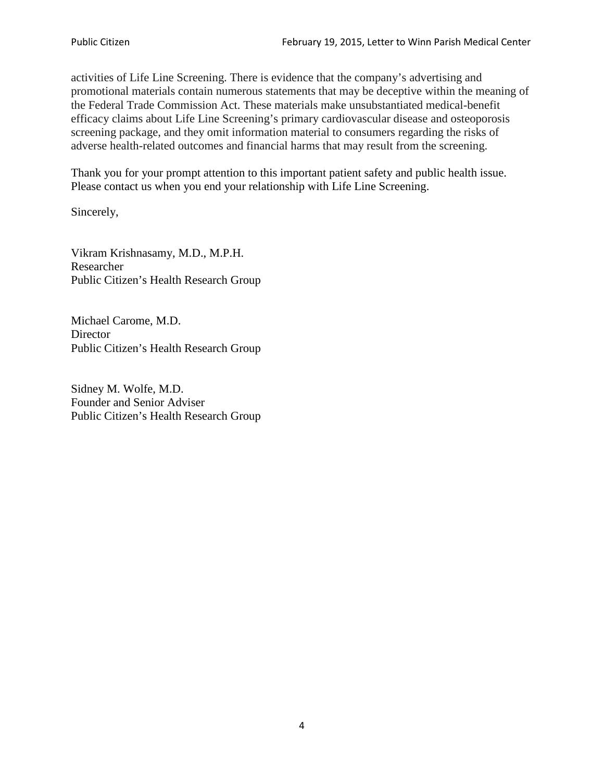activities of Life Line Screening. There is evidence that the company's advertising and promotional materials contain numerous statements that may be deceptive within the meaning of the Federal Trade Commission Act. These materials make unsubstantiated medical-benefit efficacy claims about Life Line Screening's primary cardiovascular disease and osteoporosis screening package, and they omit information material to consumers regarding the risks of adverse health-related outcomes and financial harms that may result from the screening.

Thank you for your prompt attention to this important patient safety and public health issue. Please contact us when you end your relationship with Life Line Screening.

Sincerely,

Vikram Krishnasamy, M.D., M.P.H. Researcher Public Citizen's Health Research Group

Michael Carome, M.D. **Director** Public Citizen's Health Research Group

Sidney M. Wolfe, M.D. Founder and Senior Adviser Public Citizen's Health Research Group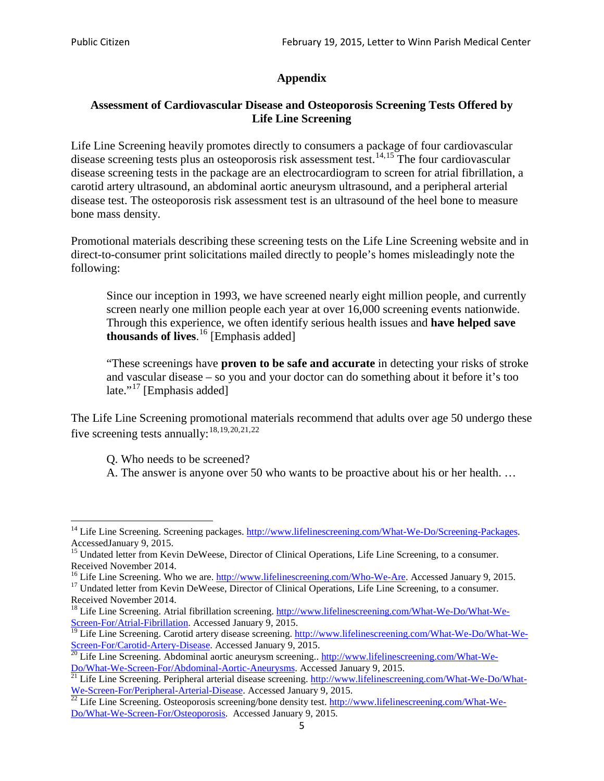# **Appendix**

# **Assessment of Cardiovascular Disease and Osteoporosis Screening Tests Offered by Life Line Screening**

Life Line Screening heavily promotes directly to consumers a package of four cardiovascular disease screening tests plus an osteoporosis risk assessment test.<sup>[14](#page-4-0),[15](#page-4-1)</sup> The four cardiovascular disease screening tests in the package are an electrocardiogram to screen for atrial fibrillation, a carotid artery ultrasound, an abdominal aortic aneurysm ultrasound, and a peripheral arterial disease test. The osteoporosis risk assessment test is an ultrasound of the heel bone to measure bone mass density.

Promotional materials describing these screening tests on the Life Line Screening website and in direct-to-consumer print solicitations mailed directly to people's homes misleadingly note the following:

Since our inception in 1993, we have screened nearly eight million people, and currently screen nearly one million people each year at over 16,000 screening events nationwide. Through this experience, we often identify serious health issues and **have helped save thousands of lives**. [16](#page-4-2) [Emphasis added]

"These screenings have **proven to be safe and accurate** in detecting your risks of stroke and vascular disease – so you and your doctor can do something about it before it's too late."<sup>[17](#page-4-3)</sup> [Emphasis added]

The Life Line Screening promotional materials recommend that adults over age 50 undergo these five screening tests annually:<sup>[18](#page-4-4),[19,](#page-4-5)[20,](#page-4-6)[21](#page-4-7),[22](#page-4-8)</sup>

Q. Who needs to be screened?

A. The answer is anyone over 50 who wants to be proactive about his or her health. …

<span id="page-4-0"></span><sup>&</sup>lt;sup>14</sup> Life Line Screening. Screening packages. [http://www.lifelinescreening.com/What-We-Do/Screening-Packages.](http://www.lifelinescreening.com/What-We-Do/Screening-Packages) AccessedJanuary 9, 2015.

<span id="page-4-1"></span><sup>&</sup>lt;sup>15</sup> Undated letter from Kevin DeWeese, Director of Clinical Operations, Life Line Screening, to a consumer.

Received November 2014.<br><sup>16</sup> Life Line Screening. Who we are. http://www.lifelinescreening.com/Who-We-Are. Accessed January 9, 2015.

<span id="page-4-3"></span><span id="page-4-2"></span><sup>&</sup>lt;sup>17</sup> Undated letter from Kevin DeWeese, Director of Clinical Operations, Life Line Screening, to a consumer. Received November 2014.

<span id="page-4-4"></span><sup>&</sup>lt;sup>18</sup> Life Line Screening. Atrial fibrillation screening. [http://www.lifelinescreening.com/What-We-Do/What-We-](http://www.lifelinescreening.com/What-We-Do/What-We-Screen-For/Atrial-Fibrillation)[Screen-For/Atrial-Fibrillation.](http://www.lifelinescreening.com/What-We-Do/What-We-Screen-For/Atrial-Fibrillation) Accessed January 9, 2015.

<span id="page-4-5"></span><sup>&</sup>lt;sup>19</sup> Life Line Screening. Carotid artery disease screening. [http://www.lifelinescreening.com/What-We-Do/What-We-](http://www.lifelinescreening.com/What-We-Do/What-We-Screen-For/Carotid-Artery-Disease)

<span id="page-4-6"></span>[Screen-For/Carotid-Artery-Disease.](http://www.lifelinescreening.com/What-We-Do/What-We-Screen-For/Carotid-Artery-Disease) Accessed January 9, 2015.<br><sup>20</sup> Life Line Screening. Abdominal aortic aneurysm screening.. http://www.lifelinescreening.com/What-We-<br>Do/What-We-Screen-For/Abdominal-Aortic-Aneurysms. Acces

<span id="page-4-7"></span> $\frac{1}{21}$  Life Line Screening. Peripheral arterial disease screening. [http://www.lifelinescreening.com/What-We-Do/What-](http://www.lifelinescreening.com/What-We-Do/What-We-Screen-For/Peripheral-Arterial-Disease)

<span id="page-4-8"></span>[We-Screen-For/Peripheral-Arterial-Disease.](http://www.lifelinescreening.com/What-We-Do/What-We-Screen-For/Peripheral-Arterial-Disease) Accessed January 9, 2015.<br><sup>22</sup> Life Line Screening. Osteoporosis screening/bone density test. [http://www.lifelinescreening.com/What-We-](http://www.lifelinescreening.com/What-We-Do/What-We-Screen-For/Osteoporosis)[Do/What-We-Screen-For/Osteoporosis.](http://www.lifelinescreening.com/What-We-Do/What-We-Screen-For/Osteoporosis) Accessed January 9, 2015.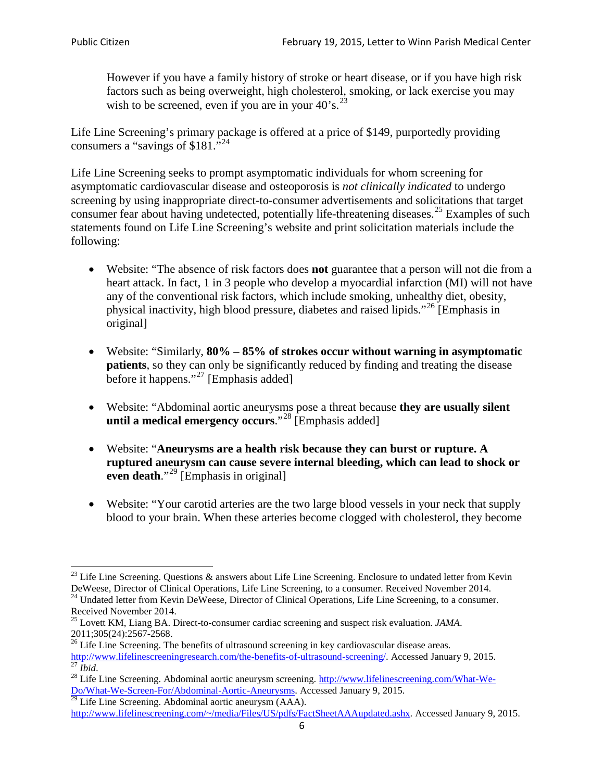However if you have a family history of stroke or heart disease, or if you have high risk factors such as being overweight, high cholesterol, smoking, or lack exercise you may wish to be screened, even if you are in your  $40^\circ$ s.<sup>[23](#page-5-0)</sup>

Life Line Screening's primary package is offered at a price of \$149, purportedly providing consumers a "savings of \$181."[24](#page-5-1)

Life Line Screening seeks to prompt asymptomatic individuals for whom screening for asymptomatic cardiovascular disease and osteoporosis is *not clinically indicated* to undergo screening by using inappropriate direct-to-consumer advertisements and solicitations that target consumer fear about having undetected, potentially life-threatening diseases.<sup>[25](#page-5-2)</sup> Examples of such statements found on Life Line Screening's website and print solicitation materials include the following:

- Website: "The absence of risk factors does **not** guarantee that a person will not die from a heart attack. In fact, 1 in 3 people who develop a myocardial infarction (MI) will not have any of the conventional risk factors, which include smoking, unhealthy diet, obesity, physical inactivity, high blood pressure, diabetes and raised lipids."[26](#page-5-3) [Emphasis in original]
- Website: "Similarly, **80% – 85% of strokes occur without warning in asymptomatic patients**, so they can only be significantly reduced by finding and treating the disease before it happens."<sup>[27](#page-5-4)</sup> [Emphasis added]
- Website: "Abdominal aortic aneurysms pose a threat because **they are usually silent until a medical emergency occurs**."[28](#page-5-5) [Emphasis added]
- Website: "**Aneurysms are a health risk because they can burst or rupture. A ruptured aneurysm can cause severe internal bleeding, which can lead to shock or even death.**"<sup>[29](#page-5-6)</sup> [Emphasis in original]
- Website: "Your carotid arteries are the two large blood vessels in your neck that supply blood to your brain. When these arteries become clogged with cholesterol, they become

<span id="page-5-0"></span><sup>&</sup>lt;sup>23</sup> Life Line Screening. Questions  $\&$  answers about Life Line Screening. Enclosure to undated letter from Kevin DeWeese, Director of Clinical Operations, Life Line Screening, to a consumer. Received November 2014.

<span id="page-5-1"></span><sup>&</sup>lt;sup>24</sup> Undated letter from Kevin DeWeese, Director of Clinical Operations, Life Line Screening, to a consumer. Received November 2014.

<span id="page-5-2"></span><sup>25</sup> Lovett KM, Liang BA. Direct-to-consumer cardiac screening and suspect risk evaluation. *JAMA*.  $2011;305(24):2567-2568$ .<br><sup>26</sup> Life Line Screening. The benefits of ultrasound screening in key cardiovascular disease areas.

<span id="page-5-3"></span>[http://www.lifelinescreeningresearch.com/the-benefits-of-ultrasound-screening/.](http://www.lifelinescreeningresearch.com/the-benefits-of-ultrasound-screening/) Accessed January 9, 2015.<br><sup>28</sup> Life Line Screening. Abdominal aortic aneurysm screening. http://www.lifelinescreening.com/What-We-<sup>28</sup>

<span id="page-5-5"></span><span id="page-5-4"></span>[Do/What-We-Screen-For/Abdominal-Aortic-Aneurysms.](http://www.lifelinescreening.com/What-We-Do/What-We-Screen-For/Abdominal-Aortic-Aneurysms) Accessed January 9, 2015. <sup>29</sup> Life Line Screening. Abdominal aortic aneurysm (AAA).

<span id="page-5-6"></span>[http://www.lifelinescreening.com/~/media/Files/US/pdfs/FactSheetAAAupdated.ashx.](http://www.lifelinescreening.com/~/media/Files/US/pdfs/FactSheetAAAupdated.ashx) Accessed January 9, 2015.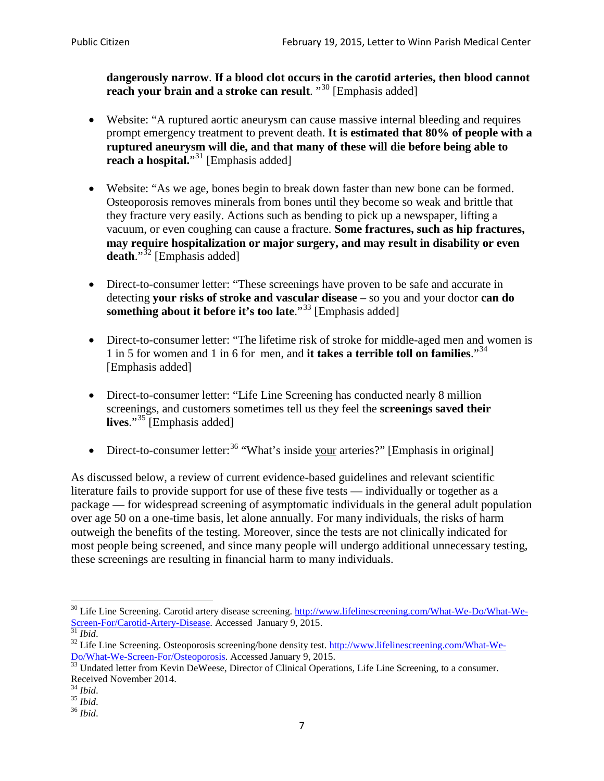**dangerously narrow**. **If a blood clot occurs in the carotid arteries, then blood cannot reach your brain and a stroke can result**. "<sup>[30](#page-6-0)</sup> [Emphasis added]

- Website: "A ruptured aortic aneurysm can cause massive internal bleeding and requires prompt emergency treatment to prevent death. **It is estimated that 80% of people with a ruptured aneurysm will die, and that many of these will die before being able to reach a hospital.**"<sup>[31](#page-6-1)</sup> [Emphasis added]
- Website: "As we age, bones begin to break down faster than new bone can be formed. Osteoporosis removes minerals from bones until they become so weak and brittle that they fracture very easily. Actions such as bending to pick up a newspaper, lifting a vacuum, or even coughing can cause a fracture. **Some fractures, such as hip fractures, may require hospitalization or major surgery, and may result in disability or even**  death."<sup>[32](#page-6-2)</sup> [Emphasis added]
- Direct-to-consumer letter: "These screenings have proven to be safe and accurate in detecting **your risks of stroke and vascular disease** – so you and your doctor **can do something about it before it's too late**."<sup>[33](#page-6-3)</sup> [Emphasis added]
- Direct-to-consumer letter: "The lifetime risk of stroke for middle-aged men and women is 1 in 5 for women and 1 in 6 for men, and **it takes a terrible toll on families**."[34](#page-6-4) [Emphasis added]
- Direct-to-consumer letter: "Life Line Screening has conducted nearly 8 million screenings, and customers sometimes tell us they feel the **screenings saved their lives**."[35](#page-6-5) [Emphasis added]
- Direct-to-consumer letter:  $36$  "What's inside your arteries?" [Emphasis in original]

As discussed below, a review of current evidence-based guidelines and relevant scientific literature fails to provide support for use of these five tests — individually or together as a package — for widespread screening of asymptomatic individuals in the general adult population over age 50 on a one-time basis, let alone annually. For many individuals, the risks of harm outweigh the benefits of the testing. Moreover, since the tests are not clinically indicated for most people being screened, and since many people will undergo additional unnecessary testing, these screenings are resulting in financial harm to many individuals.

<span id="page-6-0"></span><sup>&</sup>lt;sup>30</sup> Life Line Screening. Carotid artery disease screening. [http://www.lifelinescreening.com/What-We-Do/What-We-](http://www.lifelinescreening.com/What-We-Do/What-We-Screen-For/Carotid-Artery-Disease)[Screen-For/Carotid-Artery-Disease.](http://www.lifelinescreening.com/What-We-Do/What-We-Screen-For/Carotid-Artery-Disease) Accessed January 9, 2015.<br><sup>31</sup> *Ibid.* 32 Life Line Screening. Osteoporosis screening/bone density test. [http://www.lifelinescreening.com/What-We-](http://www.lifelinescreening.com/What-We-Do/What-We-Screen-For/Osteoporosis)

<span id="page-6-2"></span><span id="page-6-1"></span>[Do/What-We-Screen-For/Osteoporosis.](http://www.lifelinescreening.com/What-We-Do/What-We-Screen-For/Osteoporosis) Accessed January 9, 2015. <sup>33</sup> Undated letter from Kevin DeWeese, Director of Clinical Operations, Life Line Screening, to a consumer.

<span id="page-6-3"></span>Received November 2014.<br><sup>34</sup> Ibid.

<span id="page-6-4"></span>

<span id="page-6-5"></span><sup>34</sup> *Ibid*. 35 *Ibid*. 36 *Ibid*.

<span id="page-6-6"></span>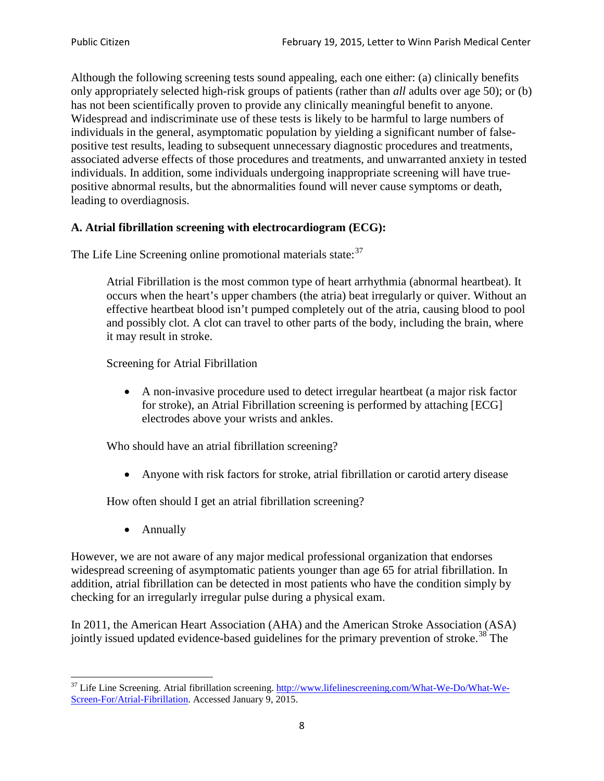Although the following screening tests sound appealing, each one either: (a) clinically benefits only appropriately selected high-risk groups of patients (rather than *all* adults over age 50); or (b) has not been scientifically proven to provide any clinically meaningful benefit to anyone. Widespread and indiscriminate use of these tests is likely to be harmful to large numbers of individuals in the general, asymptomatic population by yielding a significant number of falsepositive test results, leading to subsequent unnecessary diagnostic procedures and treatments, associated adverse effects of those procedures and treatments, and unwarranted anxiety in tested individuals. In addition, some individuals undergoing inappropriate screening will have truepositive abnormal results, but the abnormalities found will never cause symptoms or death, leading to overdiagnosis.

# **A. Atrial fibrillation screening with electrocardiogram (ECG):**

The Life Line Screening online promotional materials state:<sup>[37](#page-7-0)</sup>

Atrial Fibrillation is the most common type of heart arrhythmia (abnormal heartbeat). It occurs when the heart's upper chambers (the atria) beat irregularly or quiver. Without an effective heartbeat blood isn't pumped completely out of the atria, causing blood to pool and possibly clot. A clot can travel to other parts of the body, including the brain, where it may result in stroke.

Screening for Atrial Fibrillation

• A non-invasive procedure used to detect irregular heartbeat (a major risk factor for stroke), an Atrial Fibrillation screening is performed by attaching [ECG] electrodes above your wrists and ankles.

Who should have an atrial fibrillation screening?

• Anyone with risk factors for stroke, atrial fibrillation or carotid artery disease

How often should I get an atrial fibrillation screening?

• Annually

<span id="page-7-1"></span>However, we are not aware of any major medical professional organization that endorses widespread screening of asymptomatic patients younger than age 65 for atrial fibrillation. In addition, atrial fibrillation can be detected in most patients who have the condition simply by checking for an irregularly irregular pulse during a physical exam.

In 2011, the American Heart Association (AHA) and the American Stroke Association (ASA) jointly issued updated evidence-based guidelines for the primary prevention of stroke.<sup>[38](#page-7-1)</sup> The

<span id="page-7-0"></span><sup>&</sup>lt;sup>37</sup> Life Line Screening. Atrial fibrillation screening. [http://www.lifelinescreening.com/What-We-Do/What-We-](http://www.lifelinescreening.com/What-We-Do/What-We-Screen-For/Atrial-Fibrillation)[Screen-For/Atrial-Fibrillation.](http://www.lifelinescreening.com/What-We-Do/What-We-Screen-For/Atrial-Fibrillation) Accessed January 9, 2015.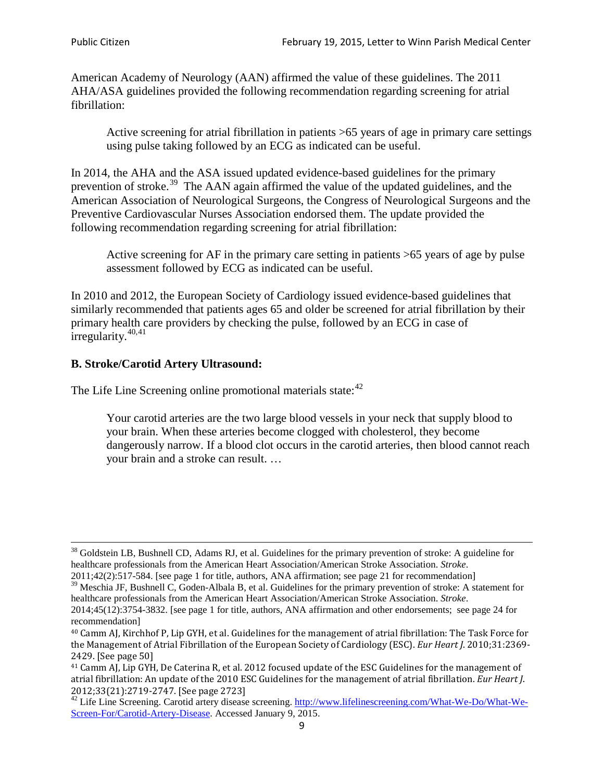American Academy of Neurology (AAN) affirmed the value of these guidelines. The 2011 AHA/ASA guidelines provided the following recommendation regarding screening for atrial fibrillation:

Active screening for atrial fibrillation in patients >65 years of age in primary care settings using pulse taking followed by an ECG as indicated can be useful.

In 2014, the AHA and the ASA issued updated evidence-based guidelines for the primary prevention of stroke.<sup>[39](#page-8-0)</sup> The AAN again affirmed the value of the updated guidelines, and the American Association of Neurological Surgeons, the Congress of Neurological Surgeons and the Preventive Cardiovascular Nurses Association endorsed them. The update provided the following recommendation regarding screening for atrial fibrillation:

Active screening for AF in the primary care setting in patients >65 years of age by pulse assessment followed by ECG as indicated can be useful.

In 2010 and 2012, the European Society of Cardiology issued evidence-based guidelines that similarly recommended that patients ages 65 and older be screened for atrial fibrillation by their primary health care providers by checking the pulse, followed by an ECG in case of irregularity. $40,41$  $40,41$ 

# **B. Stroke/Carotid Artery Ultrasound:**

The Life Line Screening online promotional materials state:<sup>[42](#page-8-3)</sup>

Your carotid arteries are the two large blood vessels in your neck that supply blood to your brain. When these arteries become clogged with cholesterol, they become dangerously narrow. If a blood clot occurs in the carotid arteries, then blood cannot reach your brain and a stroke can result. …

<sup>&</sup>lt;sup>38</sup> Goldstein LB, Bushnell CD, Adams RJ, et al. Guidelines for the primary prevention of stroke: A guideline for healthcare professionals from the American Heart Association/American Stroke Association. *Stroke*.

<sup>2011;42(2):517-584.</sup> [see page 1 for title, authors, ANA affirmation; see page 21 for recommendation]

<span id="page-8-0"></span> $\frac{2011,42(2)(317,601)}{39}$  Meschia JF, Bushnell C, Goden-Albala B, et al. Guidelines for the primary prevention of stroke: A statement for healthcare professionals from the American Heart Association/American Stroke Association. *Stroke*.

<sup>2014;45(12):3754-3832.</sup> [see page 1 for title, authors, ANA affirmation and other endorsements; see page 24 for recommendation]

<span id="page-8-1"></span><sup>40</sup> Camm AJ, Kirchhof P, Lip GYH, et al. Guidelines for the management of atrial fibrillation: The Task Force for the Management of Atrial Fibrillation of the European Society of Cardiology (ESC). *Eur Heart J*. 2010;31:2369- 2429. [See page 50]

<span id="page-8-2"></span><sup>41</sup> Camm AJ, Lip GYH, De Caterina R, et al. 2012 focused update of the ESC Guidelines for the management of atrial fibrillation: An update of the 2010 ESC Guidelines for the management of atrial fibrillation. *Eur Heart J*.

<span id="page-8-3"></span><sup>2012;33(21):2719-2747. [</sup>See page 2723]<br><sup>42</sup> Life Line Screening. Carotid artery disease screening. [http://www.lifelinescreening.com/What-We-Do/What-We-](http://www.lifelinescreening.com/What-We-Do/What-We-Screen-For/Carotid-Artery-Disease)[Screen-For/Carotid-Artery-Disease.](http://www.lifelinescreening.com/What-We-Do/What-We-Screen-For/Carotid-Artery-Disease) Accessed January 9, 2015.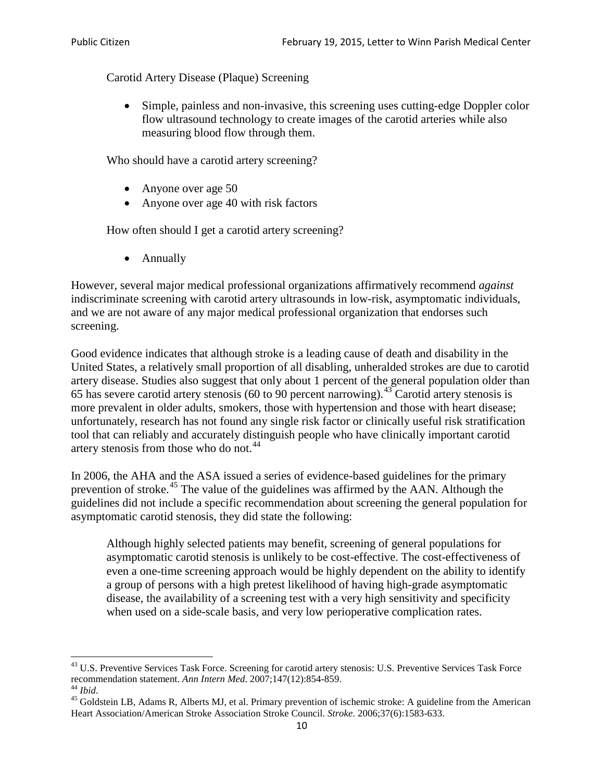Carotid Artery Disease (Plaque) Screening

• Simple, painless and non-invasive, this screening uses cutting-edge Doppler color flow ultrasound technology to create images of the carotid arteries while also measuring blood flow through them.

Who should have a carotid artery screening?

- Anyone over age 50
- Anyone over age 40 with risk factors

How often should I get a carotid artery screening?

• Annually

However, several major medical professional organizations affirmatively recommend *against* indiscriminate screening with carotid artery ultrasounds in low-risk, asymptomatic individuals, and we are not aware of any major medical professional organization that endorses such screening.

Good evidence indicates that although stroke is a leading cause of death and disability in the United States, a relatively small proportion of all disabling, unheralded strokes are due to carotid artery disease. Studies also suggest that only about 1 percent of the general population older than 65 has severe carotid artery stenosis (60 to 90 percent narrowing).<sup>[43](#page-9-0)</sup> Carotid artery stenosis is more prevalent in older adults, smokers, those with hypertension and those with heart disease; unfortunately, research has not found any single risk factor or clinically useful risk stratification tool that can reliably and accurately distinguish people who have clinically important carotid artery stenosis from those who do not.<sup>[44](#page-9-1)</sup>

In 2006, the AHA and the ASA issued a series of evidence-based guidelines for the primary prevention of stroke.[45](#page-9-2) The value of the guidelines was affirmed by the AAN. Although the guidelines did not include a specific recommendation about screening the general population for asymptomatic carotid stenosis, they did state the following:

Although highly selected patients may benefit, screening of general populations for asymptomatic carotid stenosis is unlikely to be cost-effective. The cost-effectiveness of even a one-time screening approach would be highly dependent on the ability to identify a group of persons with a high pretest likelihood of having high-grade asymptomatic disease, the availability of a screening test with a very high sensitivity and specificity when used on a side-scale basis, and very low perioperative complication rates.

<span id="page-9-0"></span> $^{43}$  U.S. Preventive Services Task Force. Screening for carotid artery stenosis: U.S. Preventive Services Task Force recommendation statement. Ann Intern Med. 2007;147(12):854-859.

<span id="page-9-2"></span><span id="page-9-1"></span><sup>&</sup>lt;sup>44</sup> *Ibid*. <sup>45</sup> Goldstein LB, Adams R, Alberts MJ, et al. Primary prevention of ischemic stroke: A guideline from the American <sup>45</sup> Goldstein LB, Adams R, Alberts MJ, et al. Primary prevention of ischemic stroke: A guide Heart Association/American Stroke Association Stroke Council. *Stroke*. 2006;37(6):1583-633.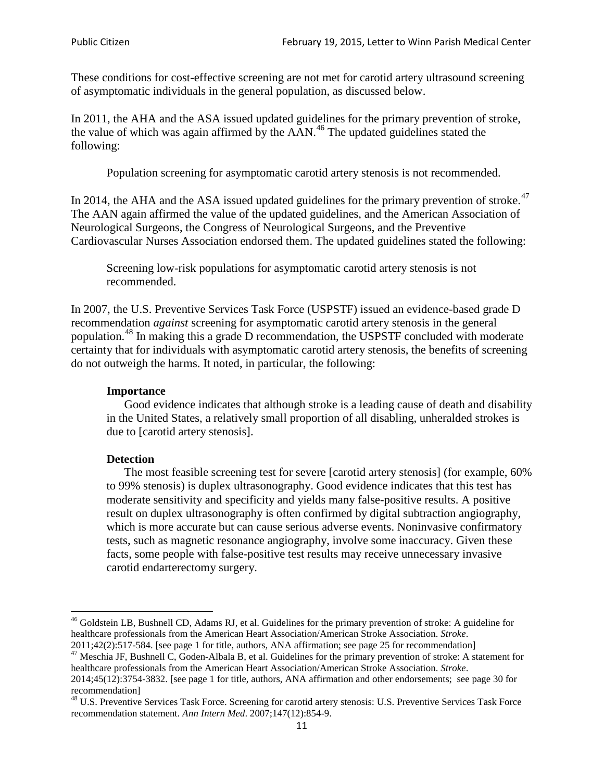These conditions for cost-effective screening are not met for carotid artery ultrasound screening of asymptomatic individuals in the general population, as discussed below.

In 2011, the AHA and the ASA issued updated guidelines for the primary prevention of stroke, the value of which was again affirmed by the  $AAN<sup>46</sup>$  $AAN<sup>46</sup>$  $AAN<sup>46</sup>$ . The updated guidelines stated the following:

Population screening for asymptomatic carotid artery stenosis is not recommended.

In 2014, the AHA and the ASA issued updated guidelines for the primary prevention of stroke.<sup>47</sup> The AAN again affirmed the value of the updated guidelines, and the American Association of Neurological Surgeons, the Congress of Neurological Surgeons, and the Preventive Cardiovascular Nurses Association endorsed them. The updated guidelines stated the following:

Screening low-risk populations for asymptomatic carotid artery stenosis is not recommended.

In 2007, the U.S. Preventive Services Task Force (USPSTF) issued an evidence-based grade D recommendation *against* screening for asymptomatic carotid artery stenosis in the general population.<sup>[48](#page-10-2)</sup> In making this a grade D recommendation, the USPSTF concluded with moderate certainty that for individuals with asymptomatic carotid artery stenosis, the benefits of screening do not outweigh the harms. It noted, in particular, the following:

#### **Importance**

Good evidence indicates that although stroke is a leading cause of death and disability in the United States, a relatively small proportion of all disabling, unheralded strokes is due to [carotid artery stenosis].

#### **Detection**

The most feasible screening test for severe [carotid artery stenosis] (for example, 60% to 99% stenosis) is duplex ultrasonography. Good evidence indicates that this test has moderate sensitivity and specificity and yields many false-positive results. A positive result on duplex ultrasonography is often confirmed by digital subtraction angiography, which is more accurate but can cause serious adverse events. Noninvasive confirmatory tests, such as magnetic resonance angiography, involve some inaccuracy. Given these facts, some people with false-positive test results may receive unnecessary invasive carotid endarterectomy surgery.

<span id="page-10-0"></span><sup>&</sup>lt;sup>46</sup> Goldstein LB, Bushnell CD, Adams RJ, et al. Guidelines for the primary prevention of stroke: A guideline for healthcare professionals from the American Heart Association/American Stroke Association. *Stroke*.<br>2011;42(2):517-584. [see page 1 for title, authors, ANA affirmation; see page 25 for recommendation]

<span id="page-10-1"></span><sup>&</sup>lt;sup>47</sup> Meschia JF, Bushnell C, Goden-Albala B, et al. Guidelines for the primary prevention of stroke: A statement for healthcare professionals from the American Heart Association/American Stroke Association. *Stroke*. 2014;45(12):3754-3832. [see page 1 for title, authors, ANA affirmation and other endorsements; see page 30 for

recommendation]

<span id="page-10-2"></span><sup>&</sup>lt;sup>48</sup> U.S. Preventive Services Task Force. Screening for carotid artery stenosis: U.S. Preventive Services Task Force recommendation statement. *Ann Intern Med*. 2007;147(12):854-9.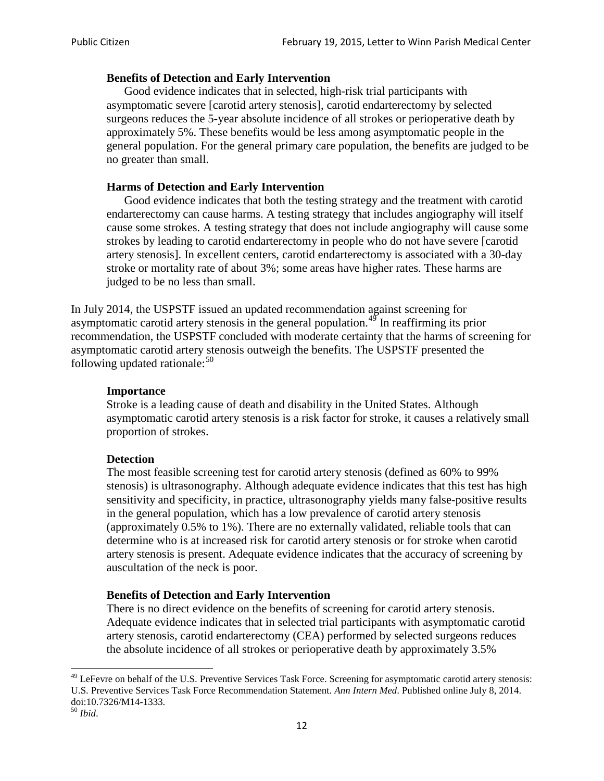### **Benefits of Detection and Early Intervention**

Good evidence indicates that in selected, high-risk trial participants with asymptomatic severe [carotid artery stenosis], carotid endarterectomy by selected surgeons reduces the 5-year absolute incidence of all strokes or perioperative death by approximately 5%. These benefits would be less among asymptomatic people in the general population. For the general primary care population, the benefits are judged to be no greater than small.

### **Harms of Detection and Early Intervention**

Good evidence indicates that both the testing strategy and the treatment with carotid endarterectomy can cause harms. A testing strategy that includes angiography will itself cause some strokes. A testing strategy that does not include angiography will cause some strokes by leading to carotid endarterectomy in people who do not have severe [carotid artery stenosis]. In excellent centers, carotid endarterectomy is associated with a 30-day stroke or mortality rate of about 3%; some areas have higher rates. These harms are judged to be no less than small.

In July 2014, the USPSTF issued an updated recommendation against screening for asymptomatic carotid artery stenosis in the general population.<sup>[49](#page-11-0)</sup> In reaffirming its prior recommendation, the USPSTF concluded with moderate certainty that the harms of screening for asymptomatic carotid artery stenosis outweigh the benefits. The USPSTF presented the following updated rationale: $50$ 

#### **Importance**

Stroke is a leading cause of death and disability in the United States. Although asymptomatic carotid artery stenosis is a risk factor for stroke, it causes a relatively small proportion of strokes.

#### **Detection**

The most feasible screening test for carotid artery stenosis (defined as 60% to 99% stenosis) is ultrasonography. Although adequate evidence indicates that this test has high sensitivity and specificity, in practice, ultrasonography yields many false-positive results in the general population, which has a low prevalence of carotid artery stenosis (approximately 0.5% to 1%). There are no externally validated, reliable tools that can determine who is at increased risk for carotid artery stenosis or for stroke when carotid artery stenosis is present. Adequate evidence indicates that the accuracy of screening by auscultation of the neck is poor.

### **Benefits of Detection and Early Intervention**

There is no direct evidence on the benefits of screening for carotid artery stenosis. Adequate evidence indicates that in selected trial participants with asymptomatic carotid artery stenosis, carotid endarterectomy (CEA) performed by selected surgeons reduces the absolute incidence of all strokes or perioperative death by approximately 3.5%

<span id="page-11-0"></span><sup>&</sup>lt;sup>49</sup> LeFevre on behalf of the U.S. Preventive Services Task Force. Screening for asymptomatic carotid artery stenosis: U.S. Preventive Services Task Force Recommendation Statement. *Ann Intern Med*. Published online July 8, 2014. doi:10.7326/M14-1333. <sup>50</sup> *Ibid*.

<span id="page-11-1"></span>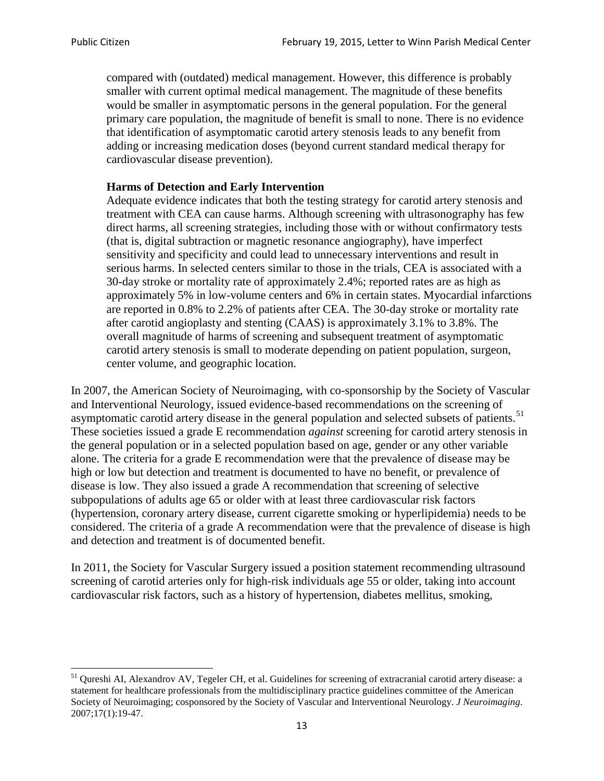compared with (outdated) medical management. However, this difference is probably smaller with current optimal medical management. The magnitude of these benefits would be smaller in asymptomatic persons in the general population. For the general primary care population, the magnitude of benefit is small to none. There is no evidence that identification of asymptomatic carotid artery stenosis leads to any benefit from adding or increasing medication doses (beyond current standard medical therapy for cardiovascular disease prevention).

### **Harms of Detection and Early Intervention**

Adequate evidence indicates that both the testing strategy for carotid artery stenosis and treatment with CEA can cause harms. Although screening with ultrasonography has few direct harms, all screening strategies, including those with or without confirmatory tests (that is, digital subtraction or magnetic resonance angiography), have imperfect sensitivity and specificity and could lead to unnecessary interventions and result in serious harms. In selected centers similar to those in the trials, CEA is associated with a 30-day stroke or mortality rate of approximately 2.4%; reported rates are as high as approximately 5% in low-volume centers and 6% in certain states. Myocardial infarctions are reported in 0.8% to 2.2% of patients after CEA. The 30-day stroke or mortality rate after carotid angioplasty and stenting (CAAS) is approximately 3.1% to 3.8%. The overall magnitude of harms of screening and subsequent treatment of asymptomatic carotid artery stenosis is small to moderate depending on patient population, surgeon, center volume, and geographic location.

In 2007, the American Society of Neuroimaging, with co-sponsorship by the Society of Vascular and Interventional Neurology, issued evidence-based recommendations on the screening of asymptomatic carotid artery disease in the general population and selected subsets of patients.<sup>[51](#page-12-0)</sup> These societies issued a grade E recommendation *against* screening for carotid artery stenosis in the general population or in a selected population based on age, gender or any other variable alone. The criteria for a grade E recommendation were that the prevalence of disease may be high or low but detection and treatment is documented to have no benefit, or prevalence of disease is low. They also issued a grade A recommendation that screening of selective subpopulations of adults age 65 or older with at least three cardiovascular risk factors (hypertension, coronary artery disease, current cigarette smoking or hyperlipidemia) needs to be considered. The criteria of a grade A recommendation were that the prevalence of disease is high and detection and treatment is of documented benefit.

In 2011, the Society for Vascular Surgery issued a position statement recommending ultrasound screening of carotid arteries only for high-risk individuals age 55 or older, taking into account cardiovascular risk factors, such as a history of hypertension, diabetes mellitus, smoking,

<span id="page-12-0"></span><sup>&</sup>lt;sup>51</sup> Qureshi AI, Alexandrov AV, Tegeler CH, et al. Guidelines for screening of extracranial carotid artery disease: a statement for healthcare professionals from the multidisciplinary practice guidelines committee of the American Society of Neuroimaging; cosponsored by the Society of Vascular and Interventional Neurology. *J Neuroimaging*. 2007;17(1):19-47.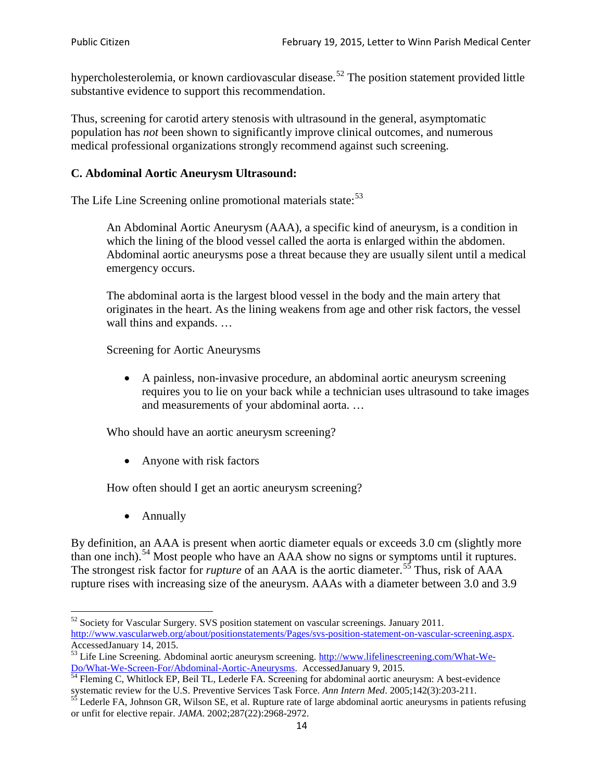hypercholesterolemia, or known cardiovascular disease.<sup>[52](#page-13-0)</sup> The position statement provided little substantive evidence to support this recommendation.

Thus, screening for carotid artery stenosis with ultrasound in the general, asymptomatic population has *not* been shown to significantly improve clinical outcomes, and numerous medical professional organizations strongly recommend against such screening.

## **C. Abdominal Aortic Aneurysm Ultrasound:**

The Life Line Screening online promotional materials state:<sup>[53](#page-13-1)</sup>

An Abdominal Aortic Aneurysm (AAA), a specific kind of aneurysm, is a condition in which the lining of the blood vessel called the aorta is enlarged within the abdomen. Abdominal aortic aneurysms pose a threat because they are usually silent until a medical emergency occurs.

The abdominal aorta is the largest blood vessel in the body and the main artery that originates in the heart. As the lining weakens from age and other risk factors, the vessel wall thins and expands. …

Screening for Aortic Aneurysms

• A painless, non-invasive procedure, an abdominal aortic aneurysm screening requires you to lie on your back while a technician uses ultrasound to take images and measurements of your abdominal aorta. …

Who should have an aortic aneurysm screening?

• Anyone with risk factors

How often should I get an aortic aneurysm screening?

• Annually

By definition, an AAA is present when aortic diameter equals or exceeds 3.0 cm (slightly more than one inch).<sup>[54](#page-13-2)</sup> Most people who have an AAA show no signs or symptoms until it ruptures. The strongest risk factor for *rupture* of an AAA is the aortic diameter.<sup>[55](#page-13-3)</sup> Thus, risk of AAA rupture rises with increasing size of the aneurysm. AAAs with a diameter between 3.0 and 3.9

<span id="page-13-0"></span><sup>&</sup>lt;sup>52</sup> Society for Vascular Surgery. SVS position statement on vascular screenings. January 2011. http://www.vascularweb.org/about/positionstatements/Pages/svs-position-statement-on-vascular-screening.aspx.<br>Accessed January 14, 2015.

<span id="page-13-1"></span>Accessed January 14, 2015.<br>
Sa Life Line Screening. Abdominal aortic aneurysm screening. http://www.lifelinescreening.com/What-We-<br>
Do/What-We-Screen-For/Abdominal-Aortic-Aneurysms. Accessed January 9, 2015.

<span id="page-13-2"></span> $\frac{54}{9}$  Fleming C, Whitlock EP, Beil TL, Lederle FA. Screening for abdominal aortic aneurysm: A best-evidence systematic review for the U.S. Preventive Services Task Force. *Ann Intern Med.* 2005;142(3):203-211.<br><sup>55</sup> Lederle FA, Johnson GR, Wilson SE, et al. Rupture rate of large abdominal aortic aneurysms in patients refusing

<span id="page-13-3"></span>or unfit for elective repair. *JAMA*. 2002;287(22):2968-2972.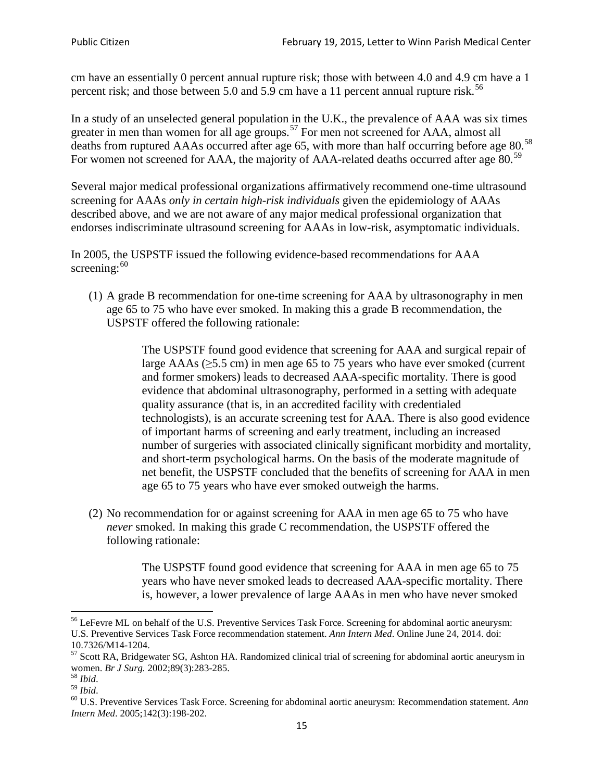cm have an essentially 0 percent annual rupture risk; those with between 4.0 and 4.9 cm have a 1 percent risk; and those between 5.0 and 5.9 cm have a 11 percent annual rupture risk.<sup>[56](#page-14-0)</sup>

In a study of an unselected general population in the U.K., the prevalence of AAA was six times greater in men than women for all age groups.<sup>[57](#page-14-1)</sup> For men not screened for  $AAA$ , almost all deaths from ruptured AAAs occurred after age 65, with more than half occurring before age 80.<sup>[58](#page-14-2)</sup> For women not screened for AAA, the majority of AAA-related deaths occurred after age 80.<sup>[59](#page-14-3)</sup>

Several major medical professional organizations affirmatively recommend one-time ultrasound screening for AAAs *only in certain high-risk individuals* given the epidemiology of AAAs described above, and we are not aware of any major medical professional organization that endorses indiscriminate ultrasound screening for AAAs in low-risk, asymptomatic individuals.

In 2005, the USPSTF issued the following evidence-based recommendations for AAA screening: $60$ 

(1) A grade B recommendation for one-time screening for AAA by ultrasonography in men age 65 to 75 who have ever smoked. In making this a grade [B recommendation,](http://www.uspreventiveservicestaskforce.org/uspstf/gradespre.htm#brec) the USPSTF offered the following rationale:

> The USPSTF found good evidence that screening for AAA and surgical repair of large AAAs ( $\geq$ 5.5 cm) in men age 65 to 75 years who have ever smoked (current and former smokers) leads to decreased AAA-specific mortality. There is good evidence that abdominal ultrasonography, performed in a setting with adequate quality assurance (that is, in an accredited facility with credentialed technologists), is an accurate screening test for AAA. There is also good evidence of important harms of screening and early treatment, including an increased number of surgeries with associated clinically significant morbidity and mortality, and short-term psychological harms. On the basis of the moderate magnitude of net benefit, the USPSTF concluded that the benefits of screening for AAA in men age 65 to 75 years who have ever smoked outweigh the harms.

(2) No recommendation for or against screening for AAA in men age 65 to 75 who have *never* smoked. In making this grade C recommendation, the USPSTF offered the following rationale:

> The USPSTF found good evidence that screening for AAA in men age 65 to 75 years who have never smoked leads to decreased AAA-specific mortality. There is, however, a lower prevalence of large AAAs in men who have never smoked

<span id="page-14-0"></span><sup>&</sup>lt;sup>56</sup> LeFevre ML on behalf of the U.S. Preventive Services Task Force. Screening for abdominal aortic aneurysm: U.S. Preventive Services Task Force recommendation statement. *Ann Intern Med*. Online June 24, 2014. doi:

<span id="page-14-1"></span><sup>10.7326/</sup>M14-1204.<br> $57$  Scott RA, Bridgewater SG, Ashton HA. Randomized clinical trial of screening for abdominal aortic aneurysm in women. *Br J Surg.* 2002;89(3):283-285.

<span id="page-14-4"></span><span id="page-14-3"></span>

<span id="page-14-2"></span><sup>&</sup>lt;sup>58</sup> *Ibid.*<br><sup>59</sup> *Ibid.* 2002;<br><sup>60</sup> U.S. Preventive Services Task Force. Screening for abdominal aortic aneurysm: Recommendation statement. *Ann Intern Med*. 2005;142(3):198-202.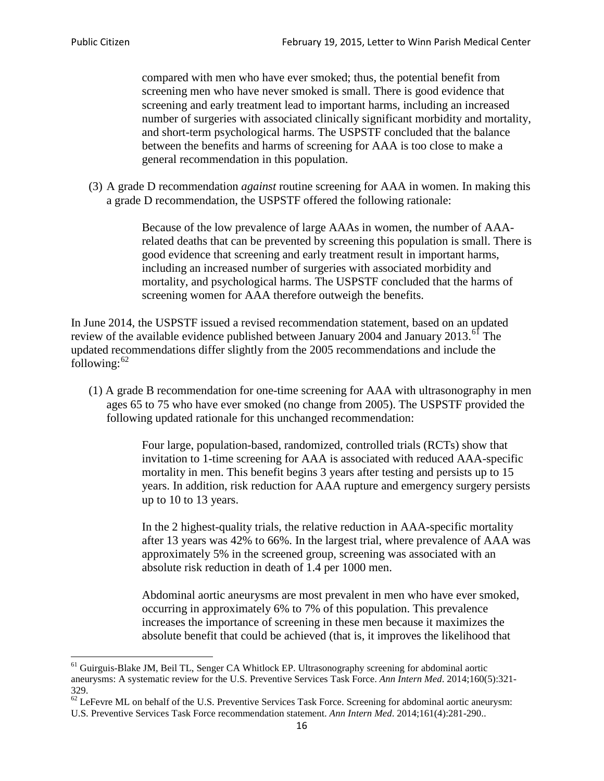compared with men who have ever smoked; thus, the potential benefit from screening men who have never smoked is small. There is good evidence that screening and early treatment lead to important harms, including an increased number of surgeries with associated clinically significant morbidity and mortality, and short-term psychological harms. The USPSTF concluded that the balance between the benefits and harms of screening for AAA is too close to make a general recommendation in this population.

(3) A grade D recommendation *against* routine screening for AAA in women. In making this a grade D recommendation, the USPSTF offered the following rationale:

> Because of the low prevalence of large AAAs in women, the number of AAArelated deaths that can be prevented by screening this population is small. There is good evidence that screening and early treatment result in important harms, including an increased number of surgeries with associated morbidity and mortality, and psychological harms. The USPSTF concluded that the harms of screening women for AAA therefore outweigh the benefits.

In June 2014, the USPSTF issued a revised recommendation statement, based on an updated review of the available evidence published between January 2004 and January 2013.<sup>[61](#page-15-0)</sup> The updated recommendations differ slightly from the 2005 recommendations and include the following: $62$ 

(1) A grade B recommendation for one-time screening for AAA with ultrasonography in men ages 65 to 75 who have ever smoked (no change from 2005). The USPSTF provided the following updated rationale for this unchanged recommendation:

> Four large, population-based, randomized, controlled trials (RCTs) show that invitation to 1-time screening for AAA is associated with reduced AAA-specific mortality in men. This benefit begins 3 years after testing and persists up to 15 years. In addition, risk reduction for AAA rupture and emergency surgery persists up to 10 to 13 years.

> In the 2 highest-quality trials, the relative reduction in AAA-specific mortality after 13 years was 42% to 66%. In the largest trial, where prevalence of AAA was approximately 5% in the screened group, screening was associated with an absolute risk reduction in death of 1.4 per 1000 men.

Abdominal aortic aneurysms are most prevalent in men who have ever smoked, occurring in approximately 6% to 7% of this population. This prevalence increases the importance of screening in these men because it maximizes the absolute benefit that could be achieved (that is, it improves the likelihood that

<span id="page-15-0"></span><sup>61</sup> Guirguis-Blake JM, Beil TL, Senger CA Whitlock EP. Ultrasonography screening for abdominal aortic aneurysms: A systematic review for the U.S. Preventive Services Task Force. *Ann Intern Med*. 2014;160(5):321- 329.

<span id="page-15-1"></span> $62$  LeFevre ML on behalf of the U.S. Preventive Services Task Force. Screening for abdominal aortic aneurysm: U.S. Preventive Services Task Force recommendation statement. *Ann Intern Med*. 2014;161(4):281-290..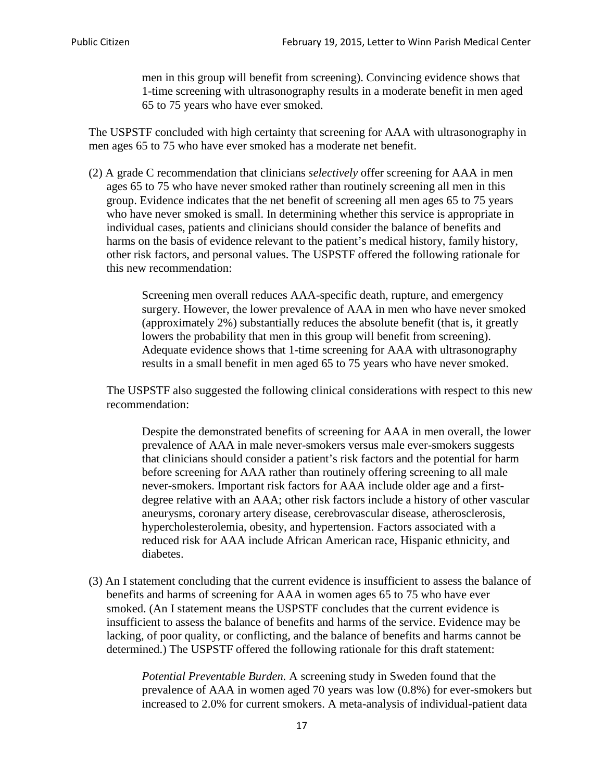men in this group will benefit from screening). Convincing evidence shows that 1-time screening with ultrasonography results in a moderate benefit in men aged 65 to 75 years who have ever smoked.

The USPSTF concluded with high certainty that screening for AAA with ultrasonography in men ages 65 to 75 who have ever smoked has a moderate net benefit.

(2) A grade C recommendation that clinicians *selectively* offer screening for AAA in men ages 65 to 75 who have never smoked rather than routinely screening all men in this group. Evidence indicates that the net benefit of screening all men ages 65 to 75 years who have never smoked is small. In determining whether this service is appropriate in individual cases, patients and clinicians should consider the balance of benefits and harms on the basis of evidence relevant to the patient's medical history, family history, other risk factors, and personal values. The USPSTF offered the following rationale for this new recommendation:

> Screening men overall reduces AAA-specific death, rupture, and emergency surgery. However, the lower prevalence of AAA in men who have never smoked (approximately 2%) substantially reduces the absolute benefit (that is, it greatly lowers the probability that men in this group will benefit from screening). Adequate evidence shows that 1-time screening for AAA with ultrasonography results in a small benefit in men aged 65 to 75 years who have never smoked.

The USPSTF also suggested the following clinical considerations with respect to this new recommendation:

Despite the demonstrated benefits of screening for AAA in men overall, the lower prevalence of AAA in male never-smokers versus male ever-smokers suggests that clinicians should consider a patient's risk factors and the potential for harm before screening for AAA rather than routinely offering screening to all male never-smokers. Important risk factors for AAA include older age and a firstdegree relative with an AAA; other risk factors include a history of other vascular aneurysms, coronary artery disease, cerebrovascular disease, atherosclerosis, hypercholesterolemia, obesity, and hypertension. Factors associated with a reduced risk for AAA include African American race, Hispanic ethnicity, and diabetes.

(3) An I statement concluding that the current evidence is insufficient to assess the balance of benefits and harms of screening for AAA in women ages 65 to 75 who have ever smoked. (An I statement means the USPSTF concludes that the current evidence is insufficient to assess the balance of benefits and harms of the service. Evidence may be lacking, of poor quality, or conflicting, and the balance of benefits and harms cannot be determined.) The USPSTF offered the following rationale for this draft statement:

> *Potential Preventable Burden.* A screening study in Sweden found that the prevalence of AAA in women aged 70 years was low (0.8%) for ever-smokers but increased to 2.0% for current smokers. A meta-analysis of individual-patient data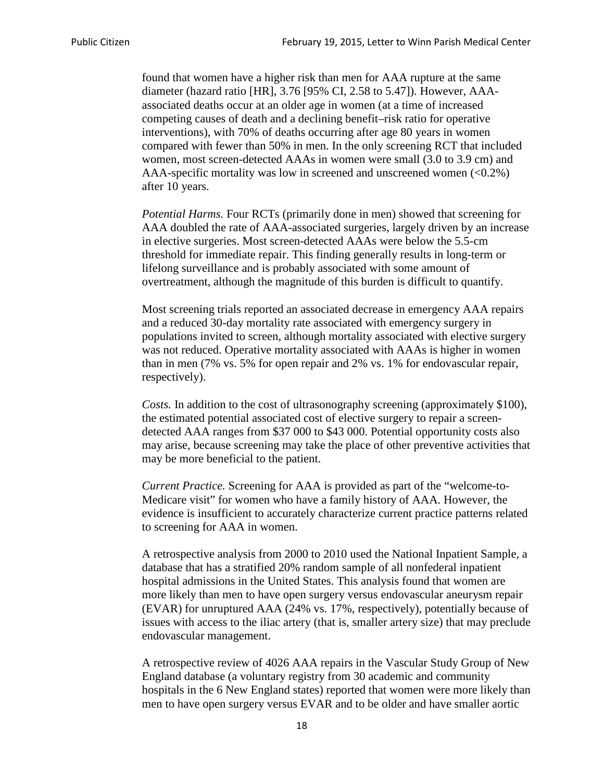found that women have a higher risk than men for AAA rupture at the same diameter (hazard ratio [HR], 3.76 [95% CI, 2.58 to 5.47]). However, AAAassociated deaths occur at an older age in women (at a time of increased competing causes of death and a declining benefit–risk ratio for operative interventions), with 70% of deaths occurring after age 80 years in women compared with fewer than 50% in men. In the only screening RCT that included women, most screen-detected AAAs in women were small (3.0 to 3.9 cm) and AAA-specific mortality was low in screened and unscreened women  $(<0.2\%)$ after 10 years.

*Potential Harms.* Four RCTs (primarily done in men) showed that screening for AAA doubled the rate of AAA-associated surgeries, largely driven by an increase in elective surgeries. Most screen-detected AAAs were below the 5.5-cm threshold for immediate repair. This finding generally results in long-term or lifelong surveillance and is probably associated with some amount of overtreatment, although the magnitude of this burden is difficult to quantify.

Most screening trials reported an associated decrease in emergency AAA repairs and a reduced 30-day mortality rate associated with emergency surgery in populations invited to screen, although mortality associated with elective surgery was not reduced. Operative mortality associated with AAAs is higher in women than in men (7% vs. 5% for open repair and 2% vs. 1% for endovascular repair, respectively).

*Costs.* In addition to the cost of ultrasonography screening (approximately \$100), the estimated potential associated cost of elective surgery to repair a screendetected AAA ranges from \$37 000 to \$43 000. Potential opportunity costs also may arise, because screening may take the place of other preventive activities that may be more beneficial to the patient.

*Current Practice.* Screening for AAA is provided as part of the "welcome-to-Medicare visit" for women who have a family history of AAA. However, the evidence is insufficient to accurately characterize current practice patterns related to screening for AAA in women.

A retrospective analysis from 2000 to 2010 used the National Inpatient Sample, a database that has a stratified 20% random sample of all nonfederal inpatient hospital admissions in the United States. This analysis found that women are more likely than men to have open surgery versus endovascular aneurysm repair (EVAR) for unruptured AAA (24% vs. 17%, respectively), potentially because of issues with access to the iliac artery (that is, smaller artery size) that may preclude endovascular management.

A retrospective review of 4026 AAA repairs in the Vascular Study Group of New England database (a voluntary registry from 30 academic and community hospitals in the 6 New England states) reported that women were more likely than men to have open surgery versus EVAR and to be older and have smaller aortic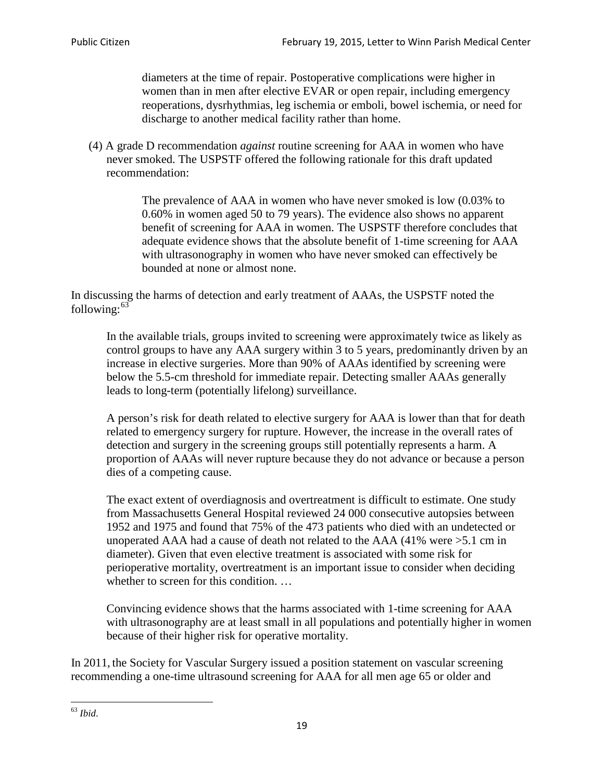diameters at the time of repair. Postoperative complications were higher in women than in men after elective EVAR or open repair, including emergency reoperations, dysrhythmias, leg ischemia or emboli, bowel ischemia, or need for discharge to another medical facility rather than home.

(4) A grade D recommendation *against* routine screening for AAA in women who have never smoked. The USPSTF offered the following rationale for this draft updated recommendation:

> The prevalence of AAA in women who have never smoked is low (0.03% to 0.60% in women aged 50 to 79 years). The evidence also shows no apparent benefit of screening for AAA in women. The USPSTF therefore concludes that adequate evidence shows that the absolute benefit of 1-time screening for AAA with ultrasonography in women who have never smoked can effectively be bounded at none or almost none.

In discussing the harms of detection and early treatment of AAAs, the USPSTF noted the following: $63$ 

In the available trials, groups invited to screening were approximately twice as likely as control groups to have any AAA surgery within 3 to 5 years, predominantly driven by an increase in elective surgeries. More than 90% of AAAs identified by screening were below the 5.5-cm threshold for immediate repair. Detecting smaller AAAs generally leads to long-term (potentially lifelong) surveillance.

A person's risk for death related to elective surgery for AAA is lower than that for death related to emergency surgery for rupture. However, the increase in the overall rates of detection and surgery in the screening groups still potentially represents a harm. A proportion of AAAs will never rupture because they do not advance or because a person dies of a competing cause.

The exact extent of overdiagnosis and overtreatment is difficult to estimate. One study from Massachusetts General Hospital reviewed 24 000 consecutive autopsies between 1952 and 1975 and found that 75% of the 473 patients who died with an undetected or unoperated AAA had a cause of death not related to the AAA (41% were >5.1 cm in diameter). Given that even elective treatment is associated with some risk for perioperative mortality, overtreatment is an important issue to consider when deciding whether to screen for this condition....

Convincing evidence shows that the harms associated with 1-time screening for AAA with ultrasonography are at least small in all populations and potentially higher in women because of their higher risk for operative mortality.

In 2011, the Society for Vascular Surgery issued a position statement on vascular screening recommending a one-time ultrasound screening for AAA for all men age 65 or older and

<span id="page-18-0"></span><sup>63</sup> *Ibid*.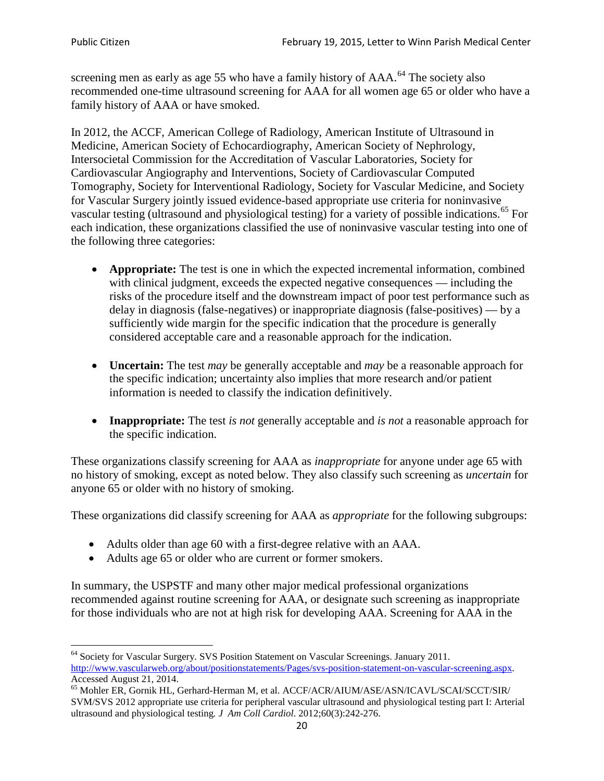screening men as early as age 55 who have a family history of AAA.<sup>[64](#page-19-0)</sup> The society also recommended one-time ultrasound screening for AAA for all women age 65 or older who have a family history of AAA or have smoked.

In 2012, the ACCF, American College of Radiology, American Institute of Ultrasound in Medicine, American Society of Echocardiography, American Society of Nephrology, Intersocietal Commission for the Accreditation of Vascular Laboratories, Society for Cardiovascular Angiography and Interventions, Society of Cardiovascular Computed Tomography, Society for Interventional Radiology, Society for Vascular Medicine, and Society for Vascular Surgery jointly issued evidence-based appropriate use criteria for noninvasive vascular testing (ultrasound and physiological testing) for a variety of possible indications.<sup>[65](#page-19-1)</sup> For each indication, these organizations classified the use of noninvasive vascular testing into one of the following three categories:

- **Appropriate:** The test is one in which the expected incremental information, combined with clinical judgment, exceeds the expected negative consequences — including the risks of the procedure itself and the downstream impact of poor test performance such as delay in diagnosis (false-negatives) or inappropriate diagnosis (false-positives) — by a sufficiently wide margin for the specific indication that the procedure is generally considered acceptable care and a reasonable approach for the indication.
- **Uncertain:** The test *may* be generally acceptable and *may* be a reasonable approach for the specific indication; uncertainty also implies that more research and/or patient information is needed to classify the indication definitively.
- **Inappropriate:** The test *is not* generally acceptable and *is not* a reasonable approach for the specific indication.

These organizations classify screening for AAA as *inappropriate* for anyone under age 65 with no history of smoking, except as noted below. They also classify such screening as *uncertain* for anyone 65 or older with no history of smoking.

These organizations did classify screening for AAA as *appropriate* for the following subgroups:

- Adults older than age 60 with a first-degree relative with an AAA.
- Adults age 65 or older who are current or former smokers.

In summary, the USPSTF and many other major medical professional organizations recommended against routine screening for AAA, or designate such screening as inappropriate for those individuals who are not at high risk for developing AAA. Screening for AAA in the

<span id="page-19-0"></span><sup>64</sup> Society for Vascular Surgery. SVS Position Statement on Vascular Screenings. January 2011. [http://www.vascularweb.org/about/positionstatements/Pages/svs-position-statement-on-vascular-screening.aspx.](http://www.vascularweb.org/about/positionstatements/Pages/svs-position-statement-on-vascular-screening.aspx) 

<span id="page-19-1"></span>Accessed August 21, 2014.<br><sup>65</sup> Mohler ER, Gornik HL, Gerhard-Herman M, et al. ACCF/ACR/AIUM/ASE/ASN/ICAVL/SCAI/SCCT/SIR/ SVM/SVS 2012 appropriate use criteria for peripheral vascular ultrasound and physiological testing part I: Arterial ultrasound and physiological testing*. J Am Coll Cardiol*. 2012;60(3):242-276.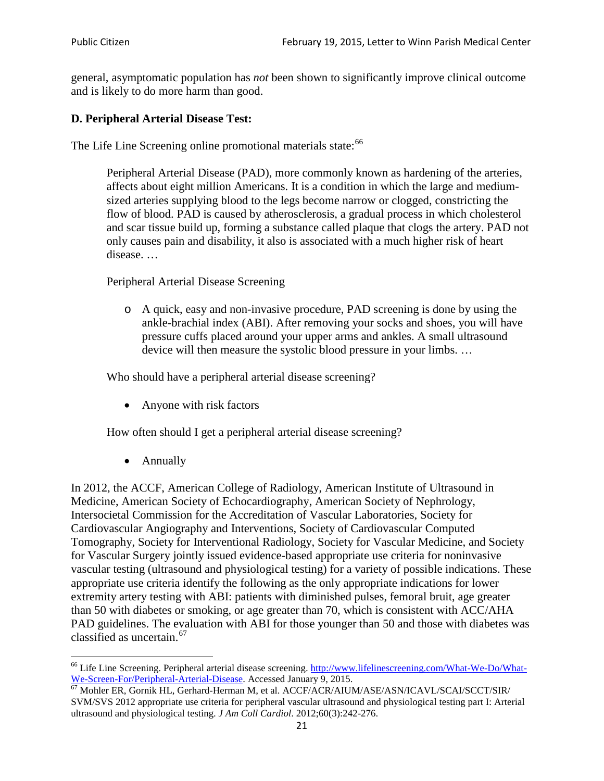general, asymptomatic population has *not* been shown to significantly improve clinical outcome and is likely to do more harm than good.

# **D. Peripheral Arterial Disease Test:**

The Life Line Screening online promotional materials state:<sup>[66](#page-20-0)</sup>

Peripheral Arterial Disease (PAD), more commonly known as hardening of the arteries, affects about eight million Americans. It is a condition in which the large and mediumsized arteries supplying blood to the legs become narrow or clogged, constricting the flow of blood. PAD is caused by atherosclerosis, a gradual process in which cholesterol and scar tissue build up, forming a substance called plaque that clogs the artery. PAD not only causes pain and disability, it also is associated with a much higher risk of heart disease. …

Peripheral Arterial Disease Screening

o A quick, easy and non-invasive procedure, PAD screening is done by using the ankle-brachial index (ABI). After removing your socks and shoes, you will have pressure cuffs placed around your upper arms and ankles. A small ultrasound device will then measure the systolic blood pressure in your limbs. …

Who should have a peripheral arterial disease screening?

• Anyone with risk factors

How often should I get a peripheral arterial disease screening?

• Annually

In 2012, the ACCF, American College of Radiology, American Institute of Ultrasound in Medicine, American Society of Echocardiography, American Society of Nephrology, Intersocietal Commission for the Accreditation of Vascular Laboratories, Society for Cardiovascular Angiography and Interventions, Society of Cardiovascular Computed Tomography, Society for Interventional Radiology, Society for Vascular Medicine, and Society for Vascular Surgery jointly issued evidence-based appropriate use criteria for noninvasive vascular testing (ultrasound and physiological testing) for a variety of possible indications. These appropriate use criteria identify the following as the only appropriate indications for lower extremity artery testing with ABI: patients with diminished pulses, femoral bruit, age greater than 50 with diabetes or smoking, or age greater than 70, which is consistent with ACC/AHA PAD guidelines. The evaluation with ABI for those younger than 50 and those with diabetes was classified as uncertain.<sup>[67](#page-20-1)</sup>

<span id="page-20-0"></span><sup>&</sup>lt;sup>66</sup> Life Line Screening. Peripheral arterial disease screening. [http://www.lifelinescreening.com/What-We-Do/What-](http://www.lifelinescreening.com/What-We-Do/What-We-Screen-For/Peripheral-Arterial-Disease)[We-Screen-For/Peripheral-Arterial-Disease.](http://www.lifelinescreening.com/What-We-Do/What-We-Screen-For/Peripheral-Arterial-Disease) Accessed January 9, 2015.<br><sup>67</sup> Mohler ER, Gornik HL, Gerhard-Herman M, et al. ACCF/ACR/AIUM/ASE/ASN/ICAVL/SCAI/SCCT/SIR/

<span id="page-20-1"></span>SVM/SVS 2012 appropriate use criteria for peripheral vascular ultrasound and physiological testing part I: Arterial ultrasound and physiological testing. *J Am Coll Cardiol*. 2012;60(3):242-276.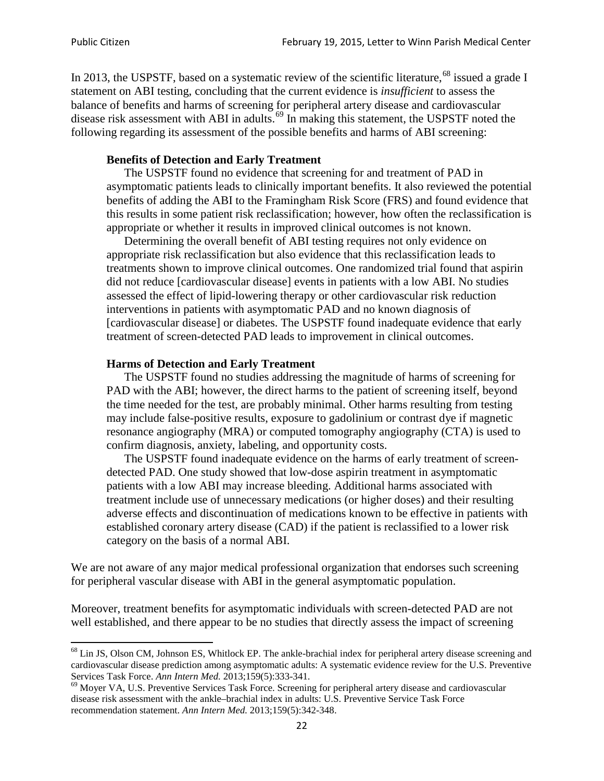In 2013, the USPSTF, based on a systematic review of the scientific literature,<sup>[68](#page-21-0)</sup> issued a grade I statement on ABI testing, concluding that the current evidence is *insufficient* to assess the balance of benefits and harms of screening for peripheral artery disease and cardiovascular disease risk assessment with ABI in adults.<sup>[69](#page-21-1)</sup> In making this statement, the USPSTF noted the following regarding its assessment of the possible benefits and harms of ABI screening:

### **Benefits of Detection and Early Treatment**

The USPSTF found no evidence that screening for and treatment of PAD in asymptomatic patients leads to clinically important benefits. It also reviewed the potential benefits of adding the ABI to the Framingham Risk Score (FRS) and found evidence that this results in some patient risk reclassification; however, how often the reclassification is appropriate or whether it results in improved clinical outcomes is not known.

Determining the overall benefit of ABI testing requires not only evidence on appropriate risk reclassification but also evidence that this reclassification leads to treatments shown to improve clinical outcomes. One randomized trial found that aspirin did not reduce [cardiovascular disease] events in patients with a low ABI. No studies assessed the effect of lipid-lowering therapy or other cardiovascular risk reduction interventions in patients with asymptomatic PAD and no known diagnosis of [cardiovascular disease] or diabetes. The USPSTF found inadequate evidence that early treatment of screen-detected PAD leads to improvement in clinical outcomes.

### **Harms of Detection and Early Treatment**

The USPSTF found no studies addressing the magnitude of harms of screening for PAD with the ABI; however, the direct harms to the patient of screening itself, beyond the time needed for the test, are probably minimal. Other harms resulting from testing may include false-positive results, exposure to gadolinium or contrast dye if magnetic resonance angiography (MRA) or computed tomography angiography (CTA) is used to confirm diagnosis, anxiety, labeling, and opportunity costs.

The USPSTF found inadequate evidence on the harms of early treatment of screendetected PAD. One study showed that low-dose aspirin treatment in asymptomatic patients with a low ABI may increase bleeding. Additional harms associated with treatment include use of unnecessary medications (or higher doses) and their resulting adverse effects and discontinuation of medications known to be effective in patients with established coronary artery disease (CAD) if the patient is reclassified to a lower risk category on the basis of a normal ABI.

We are not aware of any major medical professional organization that endorses such screening for peripheral vascular disease with ABI in the general asymptomatic population.

Moreover, treatment benefits for asymptomatic individuals with screen-detected PAD are not well established, and there appear to be no studies that directly assess the impact of screening

<span id="page-21-0"></span><sup>&</sup>lt;sup>68</sup> Lin JS, Olson CM, Johnson ES, Whitlock EP. The ankle-brachial index for peripheral artery disease screening and cardiovascular disease prediction among asymptomatic adults: A systematic evidence review for the U.S. Preventive Services Task Force. *Ann Intern Med.* 2013;159(5):333-341.<br><sup>69</sup> Moyer VA, U.S. Preventive Services Task Force. Screening for peripheral artery disease and cardiovascular

<span id="page-21-1"></span>disease risk assessment with the ankle–brachial index in adults: U.S. Preventive Service Task Force recommendation statement. *Ann Intern Med.* 2013;159(5):342-348.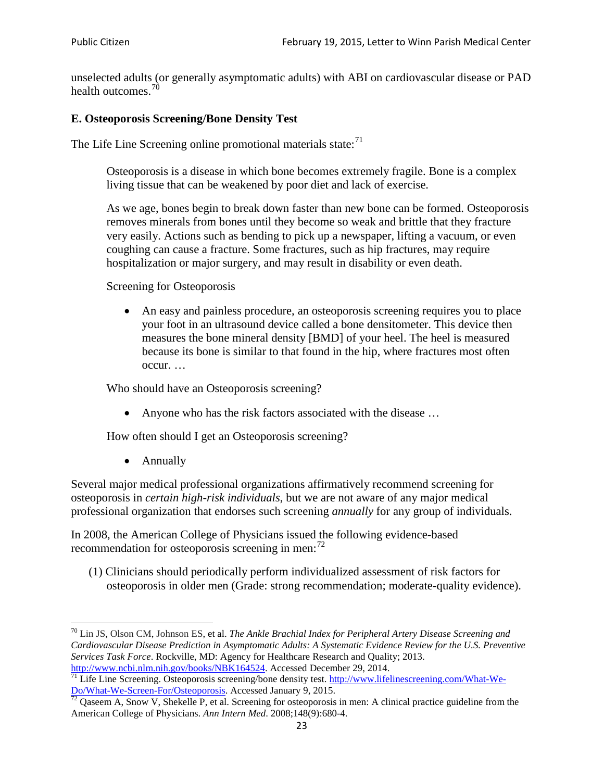unselected adults (or generally asymptomatic adults) with ABI on cardiovascular disease or PAD health outcomes.<sup>[70](#page-22-0)</sup>

## **E. Osteoporosis Screening/Bone Density Test**

The Life Line Screening online promotional materials state: $71$ 

Osteoporosis is a disease in which bone becomes extremely fragile. Bone is a complex living tissue that can be weakened by poor diet and lack of exercise.

As we age, bones begin to break down faster than new bone can be formed. Osteoporosis removes minerals from bones until they become so weak and brittle that they fracture very easily. Actions such as bending to pick up a newspaper, lifting a vacuum, or even coughing can cause a fracture. Some fractures, such as hip fractures, may require hospitalization or major surgery, and may result in disability or even death.

Screening for Osteoporosis

• An easy and painless procedure, an osteoporosis screening requires you to place your foot in an ultrasound device called a bone densitometer. This device then measures the bone mineral density [BMD] of your heel. The heel is measured because its bone is similar to that found in the hip, where fractures most often occur. …

Who should have an Osteoporosis screening?

• Anyone who has the risk factors associated with the disease ...

How often should I get an Osteoporosis screening?

• Annually

Several major medical professional organizations affirmatively recommend screening for osteoporosis in *certain high-risk individuals*, but we are not aware of any major medical professional organization that endorses such screening *annually* for any group of individuals.

In 2008, the American College of Physicians issued the following evidence-based recommendation for osteoporosis screening in men: $^{72}$  $^{72}$  $^{72}$ 

(1) Clinicians should periodically perform individualized assessment of risk factors for osteoporosis in older men (Grade: strong recommendation; moderate-quality evidence).

<span id="page-22-0"></span><sup>70</sup> [Lin JS,](http://www.ncbi.nlm.nih.gov/pubmed?term=Lin%20JS%5BAuthor%5D&cauthor=true&cauthor_uid=24156115) [Olson CM,](http://www.ncbi.nlm.nih.gov/pubmed?term=Olson%20CM%5BAuthor%5D&cauthor=true&cauthor_uid=24156115) [Johnson ES,](http://www.ncbi.nlm.nih.gov/pubmed?term=Johnson%20ES%5BAuthor%5D&cauthor=true&cauthor_uid=24156115) et al. *The Ankle Brachial Index for Peripheral Artery Disease Screening and Cardiovascular Disease Prediction in Asymptomatic Adults: A Systematic Evidence Review for the U.S. Preventive Services Task Force*. Rockville, MD: Agency for Healthcare Research and Quality; 2013.<br>http://www.ncbi.nlm.nih.gov/books/NBK164524. Accessed December 29, 2014.

<span id="page-22-1"></span> $\frac{1}{71}$  Life Line Screening. Osteoporosis screening/bone density test. [http://www.lifelinescreening.com/What-We-](http://www.lifelinescreening.com/What-We-Do/What-We-Screen-For/Osteoporosis)[Do/What-We-Screen-For/Osteoporosis.](http://www.lifelinescreening.com/What-We-Do/What-We-Screen-For/Osteoporosis) Accessed January 9, 2015. <sup>72</sup> Qaseem A, Snow V, Shekelle P, et al. Screening for osteoporosis in men: A clinical practice guideline from the

<span id="page-22-2"></span>American College of Physicians. *Ann Intern Med*. 2008;148(9):680-4.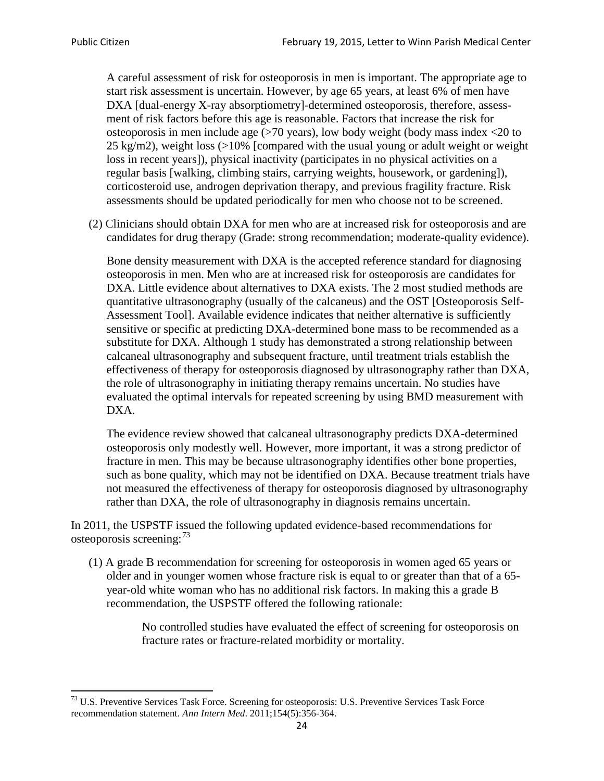A careful assessment of risk for osteoporosis in men is important. The appropriate age to start risk assessment is uncertain. However, by age 65 years, at least 6% of men have DXA [dual-energy X-ray absorptiometry]-determined osteoporosis, therefore, assessment of risk factors before this age is reasonable. Factors that increase the risk for osteoporosis in men include age (>70 years), low body weight (body mass index <20 to 25 kg/m2), weight loss  $\langle$  >10% [compared with the usual young or adult weight or weight loss in recent years]), physical inactivity (participates in no physical activities on a regular basis [walking, climbing stairs, carrying weights, housework, or gardening]), corticosteroid use, androgen deprivation therapy, and previous fragility fracture. Risk assessments should be updated periodically for men who choose not to be screened.

(2) Clinicians should obtain DXA for men who are at increased risk for osteoporosis and are candidates for drug therapy (Grade: strong recommendation; moderate-quality evidence).

Bone density measurement with DXA is the accepted reference standard for diagnosing osteoporosis in men. Men who are at increased risk for osteoporosis are candidates for DXA. Little evidence about alternatives to DXA exists. The 2 most studied methods are quantitative ultrasonography (usually of the calcaneus) and the OST [Osteoporosis Self-Assessment Tool]. Available evidence indicates that neither alternative is sufficiently sensitive or specific at predicting DXA-determined bone mass to be recommended as a substitute for DXA. Although 1 study has demonstrated a strong relationship between calcaneal ultrasonography and subsequent fracture, until treatment trials establish the effectiveness of therapy for osteoporosis diagnosed by ultrasonography rather than DXA, the role of ultrasonography in initiating therapy remains uncertain. No studies have evaluated the optimal intervals for repeated screening by using BMD measurement with DXA.

The evidence review showed that calcaneal ultrasonography predicts DXA-determined osteoporosis only modestly well. However, more important, it was a strong predictor of fracture in men. This may be because ultrasonography identifies other bone properties, such as bone quality, which may not be identified on DXA. Because treatment trials have not measured the effectiveness of therapy for osteoporosis diagnosed by ultrasonography rather than DXA, the role of ultrasonography in diagnosis remains uncertain.

In 2011, the USPSTF issued the following updated evidence-based recommendations for osteoporosis screening:<sup>[73](#page-23-0)</sup>

(1) A grade B recommendation for screening for osteoporosis in women aged 65 years or older and in younger women whose fracture risk is equal to or greater than that of a 65 year-old white woman who has no additional risk factors. In making this a grade B recommendation, the USPSTF offered the following rationale:

> No controlled studies have evaluated the effect of screening for osteoporosis on fracture rates or fracture-related morbidity or mortality.

<span id="page-23-0"></span><sup>&</sup>lt;sup>73</sup> U.S. Preventive Services Task Force. Screening for osteoporosis: U.S. Preventive Services Task Force recommendation statement. *Ann Intern Med*. 2011;154(5):356-364.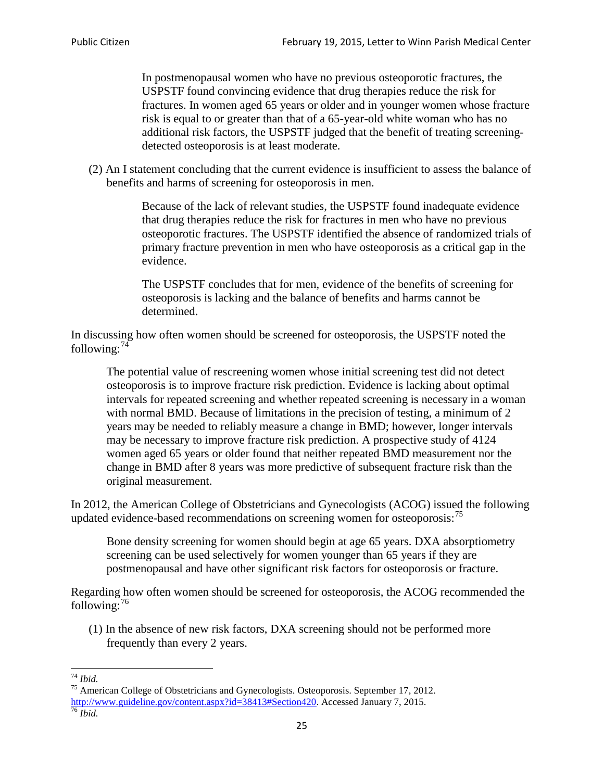In postmenopausal women who have no previous osteoporotic fractures, the USPSTF found convincing evidence that drug therapies reduce the risk for fractures. In women aged 65 years or older and in younger women whose fracture risk is equal to or greater than that of a 65-year-old white woman who has no additional risk factors, the USPSTF judged that the benefit of treating screeningdetected osteoporosis is at least moderate.

(2) An I statement concluding that the current evidence is insufficient to assess the balance of benefits and harms of screening for osteoporosis in men.

> Because of the lack of relevant studies, the USPSTF found inadequate evidence that drug therapies reduce the risk for fractures in men who have no previous osteoporotic fractures. The USPSTF identified the absence of randomized trials of primary fracture prevention in men who have osteoporosis as a critical gap in the evidence.

The USPSTF concludes that for men, evidence of the benefits of screening for osteoporosis is lacking and the balance of benefits and harms cannot be determined.

In discussing how often women should be screened for osteoporosis, the USPSTF noted the following: $74$ 

The potential value of rescreening women whose initial screening test did not detect osteoporosis is to improve fracture risk prediction. Evidence is lacking about optimal intervals for repeated screening and whether repeated screening is necessary in a woman with normal BMD. Because of limitations in the precision of testing, a minimum of 2 years may be needed to reliably measure a change in BMD; however, longer intervals may be necessary to improve fracture risk prediction. A prospective study of 4124 women aged 65 years or older found that neither repeated BMD measurement nor the change in BMD after 8 years was more predictive of subsequent fracture risk than the original measurement.

In 2012, the American College of Obstetricians and Gynecologists (ACOG) issued the following updated evidence-based recommendations on screening women for osteoporosis:<sup>[75](#page-24-1)</sup>

Bone density screening for women should begin at age 65 years. DXA absorptiometry screening can be used selectively for women younger than 65 years if they are postmenopausal and have other significant risk factors for osteoporosis or fracture.

Regarding how often women should be screened for osteoporosis, the ACOG recommended the following: $^{76}$  $^{76}$  $^{76}$ 

(1) In the absence of new risk factors, DXA screening should not be performed more frequently than every 2 years.

<span id="page-24-2"></span><span id="page-24-1"></span><span id="page-24-0"></span><sup>74</sup> *Ibid.* <sup>75</sup> American College of Obstetricians and Gynecologists. Osteoporosis. September 17, 2012. [http://www.guideline.gov/content.aspx?id=38413#Section420.](http://www.guideline.gov/content.aspx?id=38413#Section420) Accessed January 7, 2015.<br><sup>76</sup> *Ibid.*